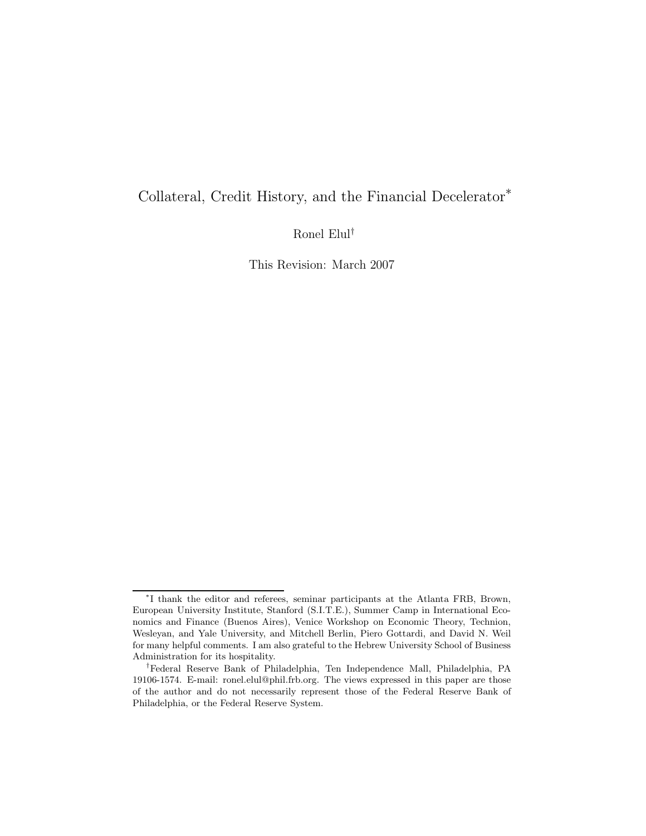# Collateral, Credit History, and the Financial Decelerator<sup>∗</sup>

Ronel Elul†

This Revision: March 2007

<sup>∗</sup>I thank the editor and referees, seminar participants at the Atlanta FRB, Brown, European University Institute, Stanford (S.I.T.E.), Summer Camp in International Economics and Finance (Buenos Aires), Venice Workshop on Economic Theory, Technion, Wesleyan, and Yale University, and Mitchell Berlin, Piero Gottardi, and David N. Weil for many helpful comments. I am also grateful to the Hebrew University School of Business Administration for its hospitality.

<sup>†</sup>Federal Reserve Bank of Philadelphia, Ten Independence Mall, Philadelphia, PA 19106-1574. E-mail: ronel.elul@phil.frb.org. The views expressed in this paper are those of the author and do not necessarily represent those of the Federal Reserve Bank of Philadelphia, or the Federal Reserve System.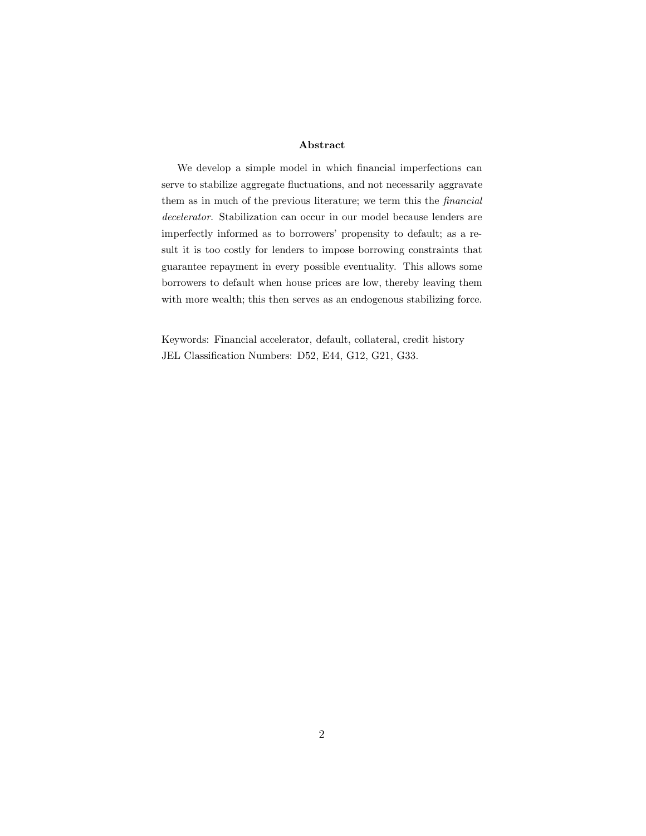## **Abstract**

We develop a simple model in which financial imperfections can serve to stabilize aggregate fluctuations, and not necessarily aggravate them as in much of the previous literature; we term this the *financial decelerator*. Stabilization can occur in our model because lenders are imperfectly informed as to borrowers' propensity to default; as a result it is too costly for lenders to impose borrowing constraints that guarantee repayment in every possible eventuality. This allows some borrowers to default when house prices are low, thereby leaving them with more wealth; this then serves as an endogenous stabilizing force.

Keywords: Financial accelerator, default, collateral, credit history JEL Classification Numbers: D52, E44, G12, G21, G33.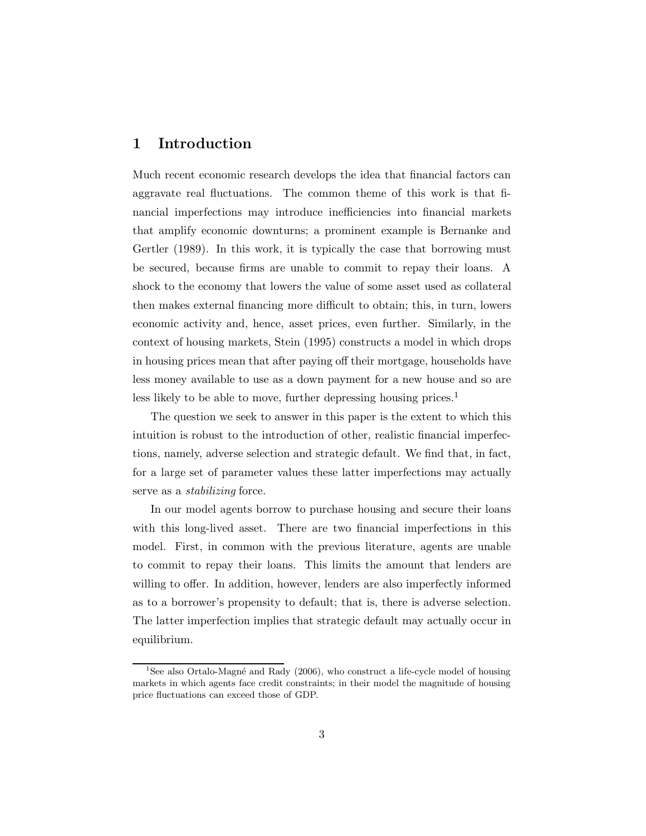# **1 Introduction**

Much recent economic research develops the idea that financial factors can aggravate real fluctuations. The common theme of this work is that financial imperfections may introduce inefficiencies into financial markets that amplify economic downturns; a prominent example is Bernanke and Gertler (1989). In this work, it is typically the case that borrowing must be secured, because firms are unable to commit to repay their loans. A shock to the economy that lowers the value of some asset used as collateral then makes external financing more difficult to obtain; this, in turn, lowers economic activity and, hence, asset prices, even further. Similarly, in the context of housing markets, Stein (1995) constructs a model in which drops in housing prices mean that after paying off their mortgage, households have less money available to use as a down payment for a new house and so are less likely to be able to move, further depressing housing prices.<sup>1</sup>

The question we seek to answer in this paper is the extent to which this intuition is robust to the introduction of other, realistic financial imperfections, namely, adverse selection and strategic default. We find that, in fact, for a large set of parameter values these latter imperfections may actually serve as a *stabilizing* force.

In our model agents borrow to purchase housing and secure their loans with this long-lived asset. There are two financial imperfections in this model. First, in common with the previous literature, agents are unable to commit to repay their loans. This limits the amount that lenders are willing to offer. In addition, however, lenders are also imperfectly informed as to a borrower's propensity to default; that is, there is adverse selection. The latter imperfection implies that strategic default may actually occur in equilibrium.

<sup>&</sup>lt;sup>1</sup>See also Ortalo-Magné and Rady  $(2006)$ , who construct a life-cycle model of housing markets in which agents face credit constraints; in their model the magnitude of housing price fluctuations can exceed those of GDP.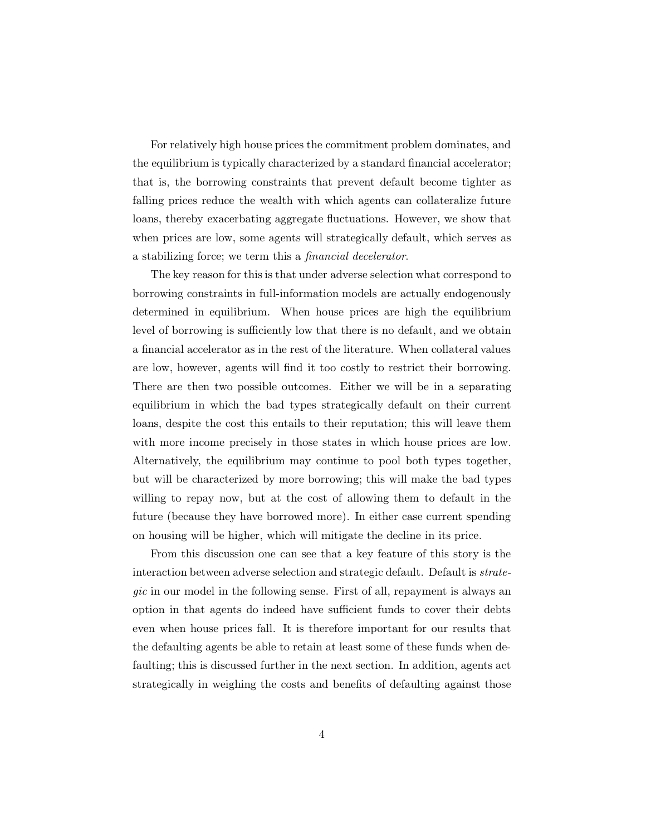For relatively high house prices the commitment problem dominates, and the equilibrium is typically characterized by a standard financial accelerator; that is, the borrowing constraints that prevent default become tighter as falling prices reduce the wealth with which agents can collateralize future loans, thereby exacerbating aggregate fluctuations. However, we show that when prices are low, some agents will strategically default, which serves as a stabilizing force; we term this a *financial decelerator*.

The key reason for this is that under adverse selection what correspond to borrowing constraints in full-information models are actually endogenously determined in equilibrium. When house prices are high the equilibrium level of borrowing is sufficiently low that there is no default, and we obtain a financial accelerator as in the rest of the literature. When collateral values are low, however, agents will find it too costly to restrict their borrowing. There are then two possible outcomes. Either we will be in a separating equilibrium in which the bad types strategically default on their current loans, despite the cost this entails to their reputation; this will leave them with more income precisely in those states in which house prices are low. Alternatively, the equilibrium may continue to pool both types together, but will be characterized by more borrowing; this will make the bad types willing to repay now, but at the cost of allowing them to default in the future (because they have borrowed more). In either case current spending on housing will be higher, which will mitigate the decline in its price.

From this discussion one can see that a key feature of this story is the interaction between adverse selection and strategic default. Default is *strategic* in our model in the following sense. First of all, repayment is always an option in that agents do indeed have sufficient funds to cover their debts even when house prices fall. It is therefore important for our results that the defaulting agents be able to retain at least some of these funds when defaulting; this is discussed further in the next section. In addition, agents act strategically in weighing the costs and benefits of defaulting against those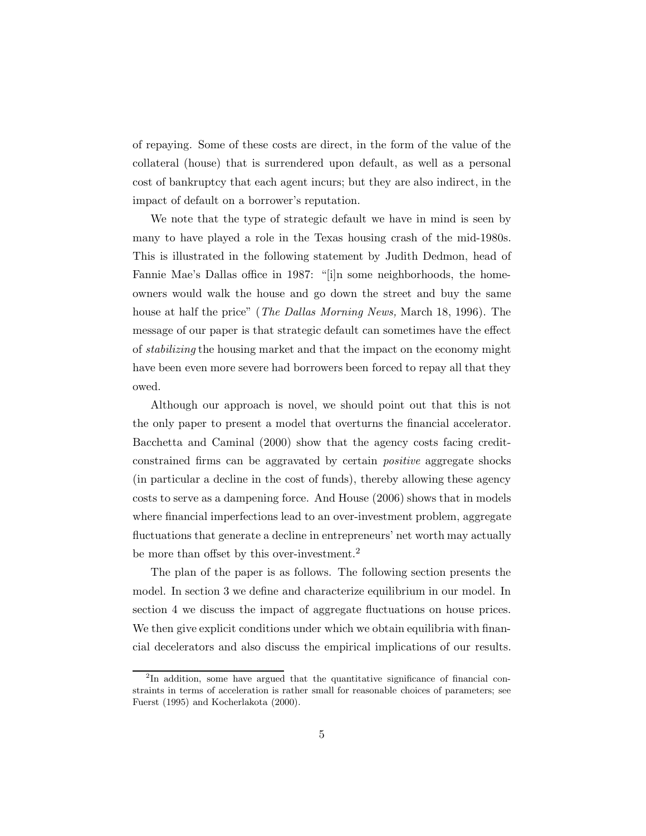of repaying. Some of these costs are direct, in the form of the value of the collateral (house) that is surrendered upon default, as well as a personal cost of bankruptcy that each agent incurs; but they are also indirect, in the impact of default on a borrower's reputation.

We note that the type of strategic default we have in mind is seen by many to have played a role in the Texas housing crash of the mid-1980s. This is illustrated in the following statement by Judith Dedmon, head of Fannie Mae's Dallas office in 1987: "[i]n some neighborhoods, the homeowners would walk the house and go down the street and buy the same house at half the price" (*The Dallas Morning News,* March 18, 1996). The message of our paper is that strategic default can sometimes have the effect of *stabilizing* the housing market and that the impact on the economy might have been even more severe had borrowers been forced to repay all that they owed.

Although our approach is novel, we should point out that this is not the only paper to present a model that overturns the financial accelerator. Bacchetta and Caminal (2000) show that the agency costs facing creditconstrained firms can be aggravated by certain *positive* aggregate shocks (in particular a decline in the cost of funds), thereby allowing these agency costs to serve as a dampening force. And House (2006) shows that in models where financial imperfections lead to an over-investment problem, aggregate fluctuations that generate a decline in entrepreneurs' net worth may actually be more than offset by this over-investment.<sup>2</sup>

The plan of the paper is as follows. The following section presents the model. In section 3 we define and characterize equilibrium in our model. In section 4 we discuss the impact of aggregate fluctuations on house prices. We then give explicit conditions under which we obtain equilibria with financial decelerators and also discuss the empirical implications of our results.

<sup>&</sup>lt;sup>2</sup>In addition, some have argued that the quantitative significance of financial constraints in terms of acceleration is rather small for reasonable choices of parameters; see Fuerst (1995) and Kocherlakota (2000).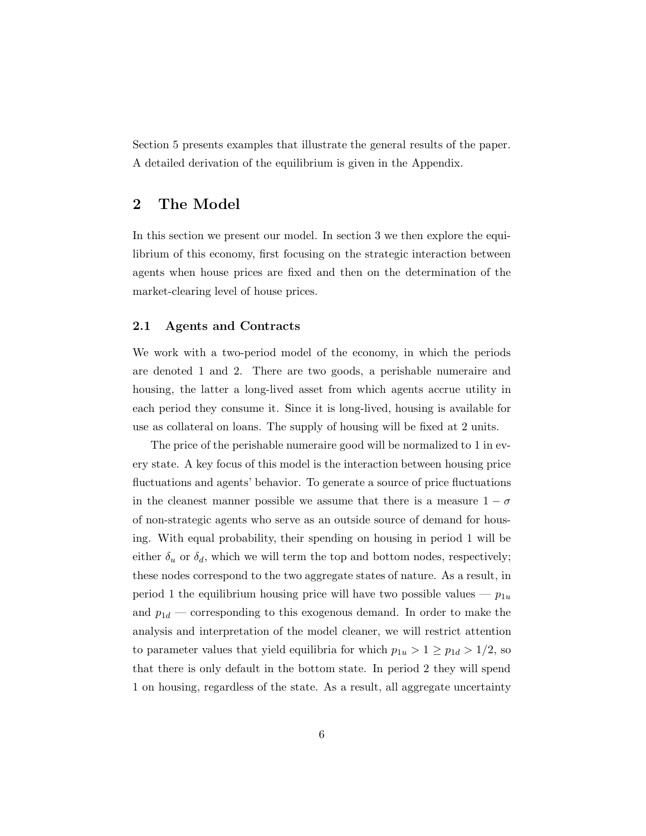Section 5 presents examples that illustrate the general results of the paper. A detailed derivation of the equilibrium is given in the Appendix.

## **2 The Model**

In this section we present our model. In section 3 we then explore the equilibrium of this economy, first focusing on the strategic interaction between agents when house prices are fixed and then on the determination of the market-clearing level of house prices.

## **2.1 Agents and Contracts**

We work with a two-period model of the economy, in which the periods are denoted 1 and 2. There are two goods, a perishable numeraire and housing, the latter a long-lived asset from which agents accrue utility in each period they consume it. Since it is long-lived, housing is available for use as collateral on loans. The supply of housing will be fixed at 2 units.

The price of the perishable numeraire good will be normalized to 1 in every state. A key focus of this model is the interaction between housing price fluctuations and agents' behavior. To generate a source of price fluctuations in the cleanest manner possible we assume that there is a measure  $1 - \sigma$ of non-strategic agents who serve as an outside source of demand for housing. With equal probability, their spending on housing in period 1 will be either  $\delta_u$  or  $\delta_d$ , which we will term the top and bottom nodes, respectively; these nodes correspond to the two aggregate states of nature. As a result, in period 1 the equilibrium housing price will have two possible values —  $p_{1u}$ and  $p_{1d}$  — corresponding to this exogenous demand. In order to make the analysis and interpretation of the model cleaner, we will restrict attention to parameter values that yield equilibria for which  $p_{1u} > 1 \ge p_{1d} > 1/2$ , so that there is only default in the bottom state. In period 2 they will spend 1 on housing, regardless of the state. As a result, all aggregate uncertainty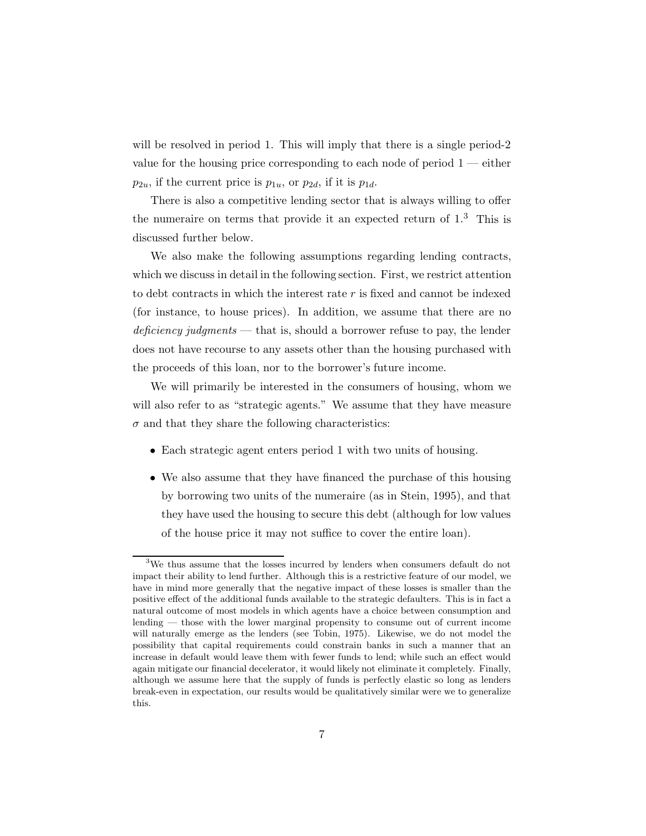will be resolved in period 1. This will imply that there is a single period-2 value for the housing price corresponding to each node of period 1 — either  $p_{2u}$ , if the current price is  $p_{1u}$ , or  $p_{2d}$ , if it is  $p_{1d}$ .

There is also a competitive lending sector that is always willing to offer the numeraire on terms that provide it an expected return of  $1<sup>3</sup>$ . This is discussed further below.

We also make the following assumptions regarding lending contracts, which we discuss in detail in the following section. First, we restrict attention to debt contracts in which the interest rate  $r$  is fixed and cannot be indexed (for instance, to house prices). In addition, we assume that there are no *deficiency judgments* — that is, should a borrower refuse to pay, the lender does not have recourse to any assets other than the housing purchased with the proceeds of this loan, nor to the borrower's future income.

We will primarily be interested in the consumers of housing, whom we will also refer to as "strategic agents." We assume that they have measure  $\sigma$  and that they share the following characteristics:

- Each strategic agent enters period 1 with two units of housing.
- We also assume that they have financed the purchase of this housing by borrowing two units of the numeraire (as in Stein, 1995), and that they have used the housing to secure this debt (although for low values of the house price it may not suffice to cover the entire loan).

<sup>&</sup>lt;sup>3</sup>We thus assume that the losses incurred by lenders when consumers default do not impact their ability to lend further. Although this is a restrictive feature of our model, we have in mind more generally that the negative impact of these losses is smaller than the positive effect of the additional funds available to the strategic defaulters. This is in fact a natural outcome of most models in which agents have a choice between consumption and lending — those with the lower marginal propensity to consume out of current income will naturally emerge as the lenders (see Tobin, 1975). Likewise, we do not model the possibility that capital requirements could constrain banks in such a manner that an increase in default would leave them with fewer funds to lend; while such an effect would again mitigate our financial decelerator, it would likely not eliminate it completely. Finally, although we assume here that the supply of funds is perfectly elastic so long as lenders break-even in expectation, our results would be qualitatively similar were we to generalize this.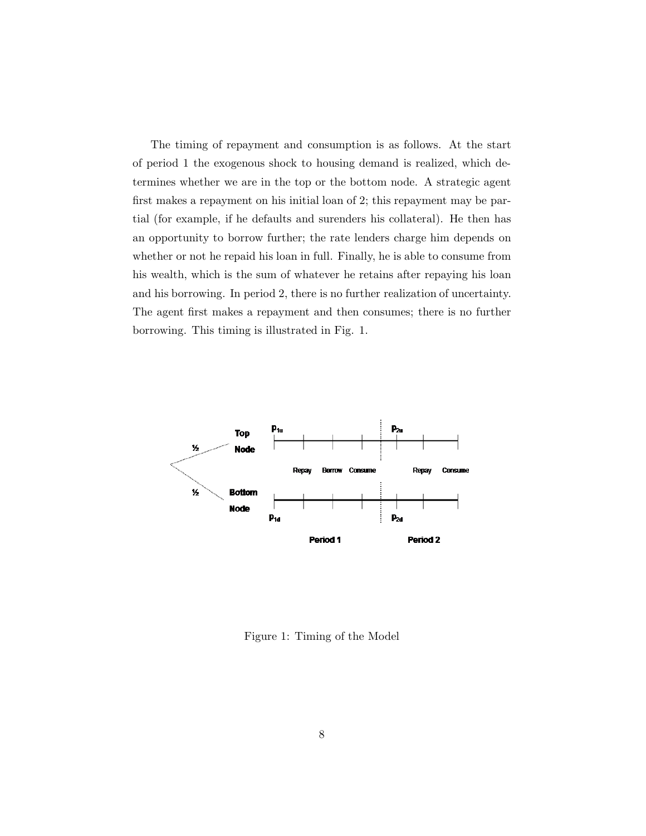The timing of repayment and consumption is as follows. At the start of period 1 the exogenous shock to housing demand is realized, which determines whether we are in the top or the bottom node. A strategic agent first makes a repayment on his initial loan of 2; this repayment may be partial (for example, if he defaults and surenders his collateral). He then has an opportunity to borrow further; the rate lenders charge him depends on whether or not he repaid his loan in full. Finally, he is able to consume from his wealth, which is the sum of whatever he retains after repaying his loan and his borrowing. In period 2, there is no further realization of uncertainty. The agent first makes a repayment and then consumes; there is no further borrowing. This timing is illustrated in Fig. 1.



Figure 1: Timing of the Model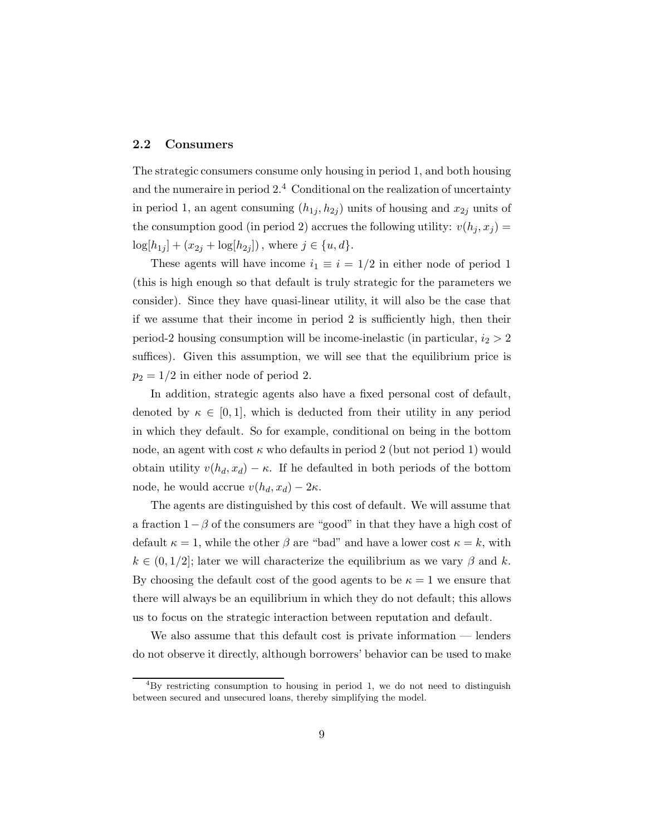## **2.2 Consumers**

The strategic consumers consume only housing in period 1, and both housing and the numeraire in period  $2<sup>4</sup>$  Conditional on the realization of uncertainty in period 1, an agent consuming  $(h_{1j}, h_{2j})$  units of housing and  $x_{2j}$  units of the consumption good (in period 2) accrues the following utility:  $v(h_j, x_j) =$  $log[h_{1j}] + (x_{2j} + log[h_{2j}])$ , where  $j \in \{u, d\}.$ 

These agents will have income  $i_1 \equiv i = 1/2$  in either node of period 1 (this is high enough so that default is truly strategic for the parameters we consider). Since they have quasi-linear utility, it will also be the case that if we assume that their income in period 2 is sufficiently high, then their period-2 housing consumption will be income-inelastic (in particular,  $i_2 > 2$ ) suffices). Given this assumption, we will see that the equilibrium price is  $p_2 = 1/2$  in either node of period 2.

In addition, strategic agents also have a fixed personal cost of default, denoted by  $\kappa \in [0, 1]$ , which is deducted from their utility in any period in which they default. So for example, conditional on being in the bottom node, an agent with cost  $\kappa$  who defaults in period 2 (but not period 1) would obtain utility  $v(h_d, x_d) - \kappa$ . If he defaulted in both periods of the bottom node, he would accrue  $v(h_d, x_d) - 2\kappa$ .

The agents are distinguished by this cost of default. We will assume that a fraction  $1-\beta$  of the consumers are "good" in that they have a high cost of default  $\kappa = 1$ , while the other  $\beta$  are "bad" and have a lower cost  $\kappa = k$ , with  $k \in (0, 1/2]$ ; later we will characterize the equilibrium as we vary  $\beta$  and k. By choosing the default cost of the good agents to be  $\kappa = 1$  we ensure that there will always be an equilibrium in which they do not default; this allows us to focus on the strategic interaction between reputation and default.

We also assume that this default cost is private information — lenders do not observe it directly, although borrowers' behavior can be used to make

 ${}^{4}$ By restricting consumption to housing in period 1, we do not need to distinguish between secured and unsecured loans, thereby simplifying the model.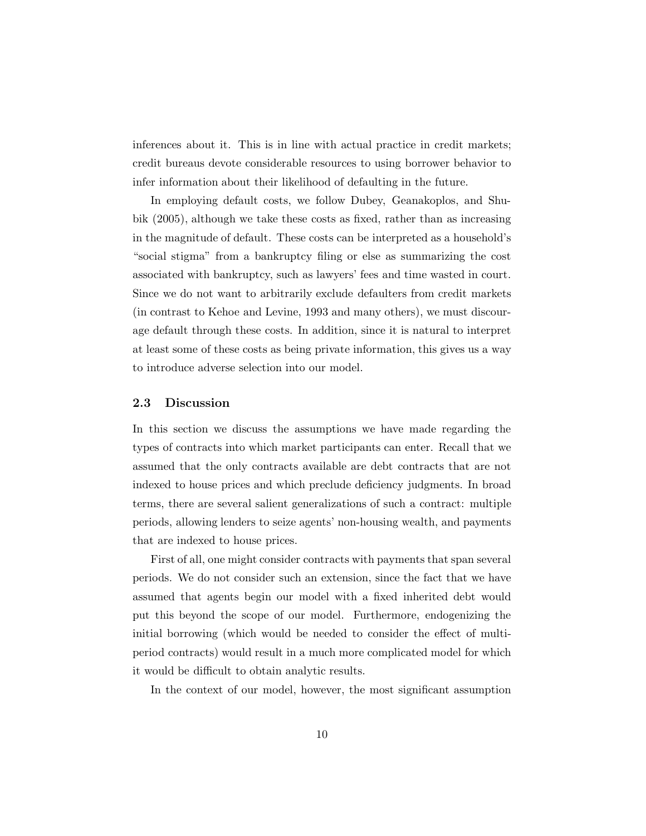inferences about it. This is in line with actual practice in credit markets; credit bureaus devote considerable resources to using borrower behavior to infer information about their likelihood of defaulting in the future.

In employing default costs, we follow Dubey, Geanakoplos, and Shubik (2005), although we take these costs as fixed, rather than as increasing in the magnitude of default. These costs can be interpreted as a household's "social stigma" from a bankruptcy filing or else as summarizing the cost associated with bankruptcy, such as lawyers' fees and time wasted in court. Since we do not want to arbitrarily exclude defaulters from credit markets (in contrast to Kehoe and Levine, 1993 and many others), we must discourage default through these costs. In addition, since it is natural to interpret at least some of these costs as being private information, this gives us a way to introduce adverse selection into our model.

## **2.3 Discussion**

In this section we discuss the assumptions we have made regarding the types of contracts into which market participants can enter. Recall that we assumed that the only contracts available are debt contracts that are not indexed to house prices and which preclude deficiency judgments. In broad terms, there are several salient generalizations of such a contract: multiple periods, allowing lenders to seize agents' non-housing wealth, and payments that are indexed to house prices.

First of all, one might consider contracts with payments that span several periods. We do not consider such an extension, since the fact that we have assumed that agents begin our model with a fixed inherited debt would put this beyond the scope of our model. Furthermore, endogenizing the initial borrowing (which would be needed to consider the effect of multiperiod contracts) would result in a much more complicated model for which it would be difficult to obtain analytic results.

In the context of our model, however, the most significant assumption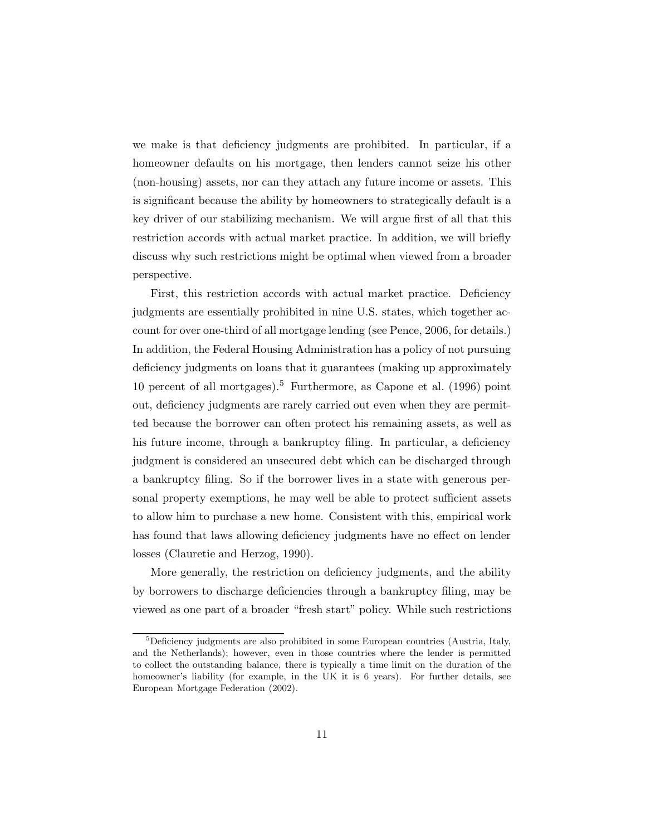we make is that deficiency judgments are prohibited. In particular, if a homeowner defaults on his mortgage, then lenders cannot seize his other (non-housing) assets, nor can they attach any future income or assets. This is significant because the ability by homeowners to strategically default is a key driver of our stabilizing mechanism. We will argue first of all that this restriction accords with actual market practice. In addition, we will briefly discuss why such restrictions might be optimal when viewed from a broader perspective.

First, this restriction accords with actual market practice. Deficiency judgments are essentially prohibited in nine U.S. states, which together account for over one-third of all mortgage lending (see Pence, 2006, for details.) In addition, the Federal Housing Administration has a policy of not pursuing deficiency judgments on loans that it guarantees (making up approximately 10 percent of all mortgages).<sup>5</sup> Furthermore, as Capone et al. (1996) point out, deficiency judgments are rarely carried out even when they are permitted because the borrower can often protect his remaining assets, as well as his future income, through a bankruptcy filing. In particular, a deficiency judgment is considered an unsecured debt which can be discharged through a bankruptcy filing. So if the borrower lives in a state with generous personal property exemptions, he may well be able to protect sufficient assets to allow him to purchase a new home. Consistent with this, empirical work has found that laws allowing deficiency judgments have no effect on lender losses (Clauretie and Herzog, 1990).

More generally, the restriction on deficiency judgments, and the ability by borrowers to discharge deficiencies through a bankruptcy filing, may be viewed as one part of a broader "fresh start" policy. While such restrictions

 ${}^{5}$ Deficiency judgments are also prohibited in some European countries (Austria, Italy, and the Netherlands); however, even in those countries where the lender is permitted to collect the outstanding balance, there is typically a time limit on the duration of the homeowner's liability (for example, in the UK it is 6 years). For further details, see European Mortgage Federation (2002).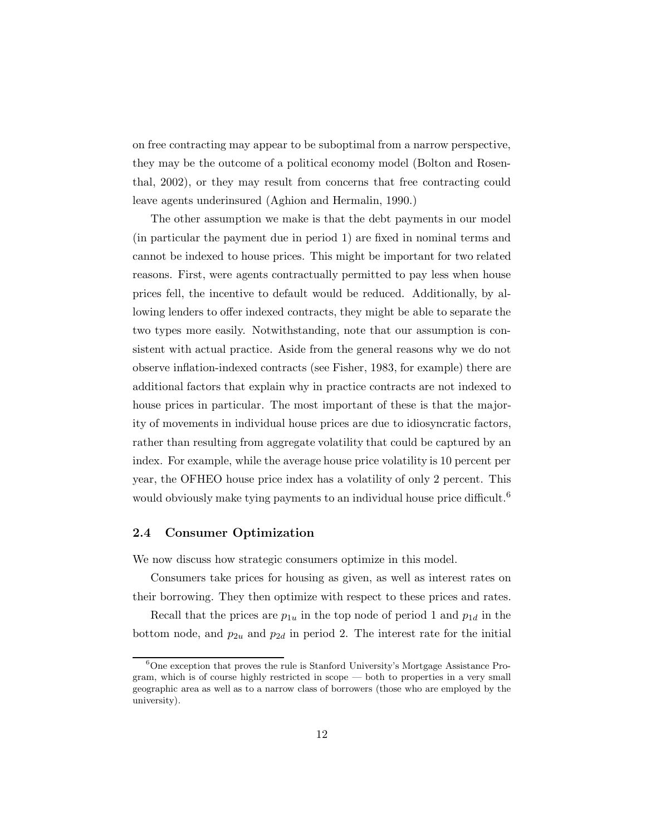on free contracting may appear to be suboptimal from a narrow perspective, they may be the outcome of a political economy model (Bolton and Rosenthal, 2002), or they may result from concerns that free contracting could leave agents underinsured (Aghion and Hermalin, 1990.)

The other assumption we make is that the debt payments in our model (in particular the payment due in period 1) are fixed in nominal terms and cannot be indexed to house prices. This might be important for two related reasons. First, were agents contractually permitted to pay less when house prices fell, the incentive to default would be reduced. Additionally, by allowing lenders to offer indexed contracts, they might be able to separate the two types more easily. Notwithstanding, note that our assumption is consistent with actual practice. Aside from the general reasons why we do not observe inflation-indexed contracts (see Fisher, 1983, for example) there are additional factors that explain why in practice contracts are not indexed to house prices in particular. The most important of these is that the majority of movements in individual house prices are due to idiosyncratic factors, rather than resulting from aggregate volatility that could be captured by an index. For example, while the average house price volatility is 10 percent per year, the OFHEO house price index has a volatility of only 2 percent. This would obviously make tying payments to an individual house price difficult.<sup>6</sup>

## **2.4 Consumer Optimization**

We now discuss how strategic consumers optimize in this model.

Consumers take prices for housing as given, as well as interest rates on their borrowing. They then optimize with respect to these prices and rates.

Recall that the prices are  $p_{1u}$  in the top node of period 1 and  $p_{1d}$  in the bottom node, and  $p_{2u}$  and  $p_{2d}$  in period 2. The interest rate for the initial

<sup>&</sup>lt;sup>6</sup>One exception that proves the rule is Stanford University's Mortgage Assistance Program, which is of course highly restricted in scope — both to properties in a very small geographic area as well as to a narrow class of borrowers (those who are employed by the university).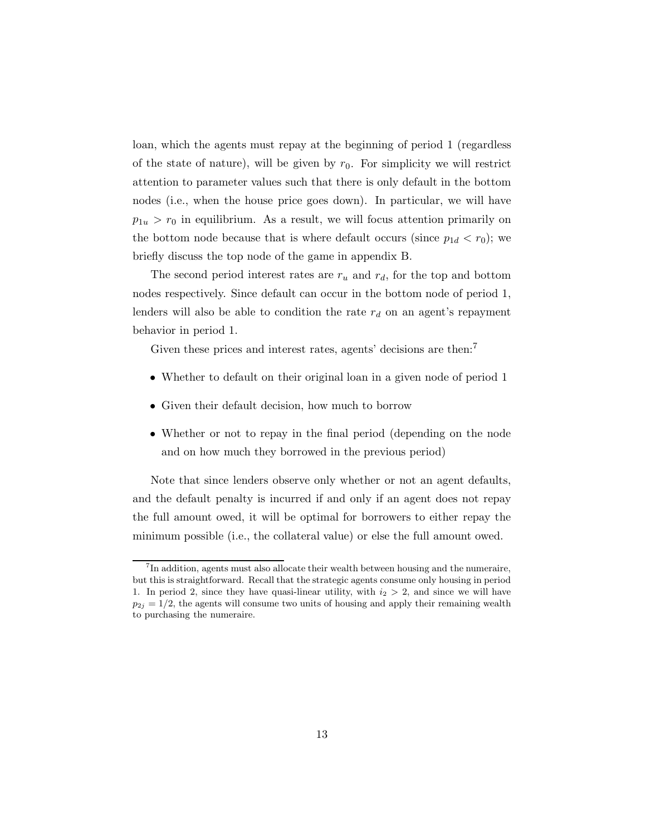loan, which the agents must repay at the beginning of period 1 (regardless of the state of nature), will be given by  $r_0$ . For simplicity we will restrict attention to parameter values such that there is only default in the bottom nodes (i.e., when the house price goes down). In particular, we will have  $p_{1u} > r_0$  in equilibrium. As a result, we will focus attention primarily on the bottom node because that is where default occurs (since  $p_{1d} < r_0$ ); we briefly discuss the top node of the game in appendix B.

The second period interest rates are  $r_u$  and  $r_d$ , for the top and bottom nodes respectively. Since default can occur in the bottom node of period 1, lenders will also be able to condition the rate  $r_d$  on an agent's repayment behavior in period 1.

Given these prices and interest rates, agents' decisions are then:<sup>7</sup>

- Whether to default on their original loan in a given node of period 1
- Given their default decision, how much to borrow
- Whether or not to repay in the final period (depending on the node and on how much they borrowed in the previous period)

Note that since lenders observe only whether or not an agent defaults, and the default penalty is incurred if and only if an agent does not repay the full amount owed, it will be optimal for borrowers to either repay the minimum possible (i.e., the collateral value) or else the full amount owed.

<sup>7</sup>In addition, agents must also allocate their wealth between housing and the numeraire, but this is straightforward. Recall that the strategic agents consume only housing in period 1. In period 2, since they have quasi-linear utility, with  $i_2 > 2$ , and since we will have  $p_{2j} = 1/2$ , the agents will consume two units of housing and apply their remaining wealth to purchasing the numeraire.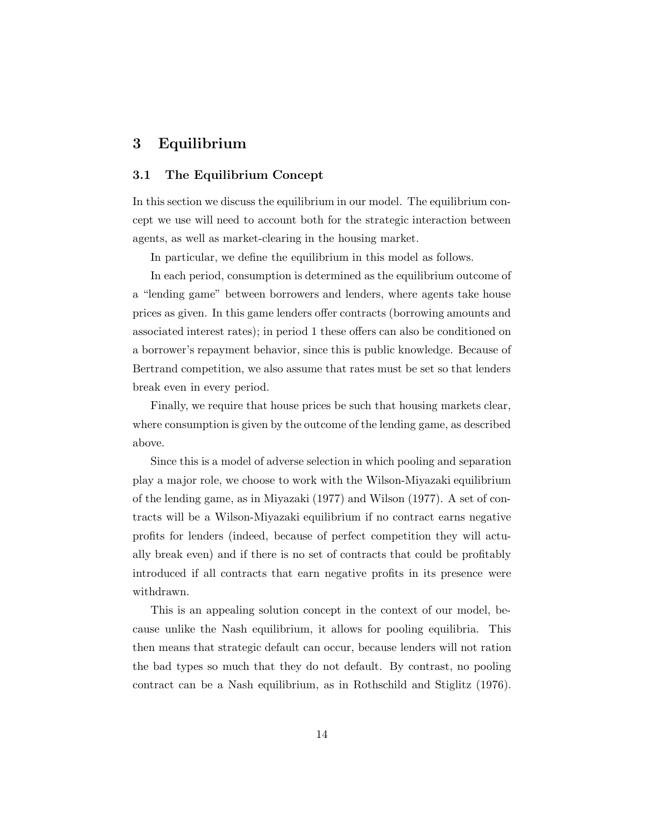# **3 Equilibrium**

## **3.1 The Equilibrium Concept**

In this section we discuss the equilibrium in our model. The equilibrium concept we use will need to account both for the strategic interaction between agents, as well as market-clearing in the housing market.

In particular, we define the equilibrium in this model as follows.

In each period, consumption is determined as the equilibrium outcome of a "lending game" between borrowers and lenders, where agents take house prices as given. In this game lenders offer contracts (borrowing amounts and associated interest rates); in period 1 these offers can also be conditioned on a borrower's repayment behavior, since this is public knowledge. Because of Bertrand competition, we also assume that rates must be set so that lenders break even in every period.

Finally, we require that house prices be such that housing markets clear, where consumption is given by the outcome of the lending game, as described above.

Since this is a model of adverse selection in which pooling and separation play a major role, we choose to work with the Wilson-Miyazaki equilibrium of the lending game, as in Miyazaki (1977) and Wilson (1977). A set of contracts will be a Wilson-Miyazaki equilibrium if no contract earns negative profits for lenders (indeed, because of perfect competition they will actually break even) and if there is no set of contracts that could be profitably introduced if all contracts that earn negative profits in its presence were withdrawn.

This is an appealing solution concept in the context of our model, because unlike the Nash equilibrium, it allows for pooling equilibria. This then means that strategic default can occur, because lenders will not ration the bad types so much that they do not default. By contrast, no pooling contract can be a Nash equilibrium, as in Rothschild and Stiglitz (1976).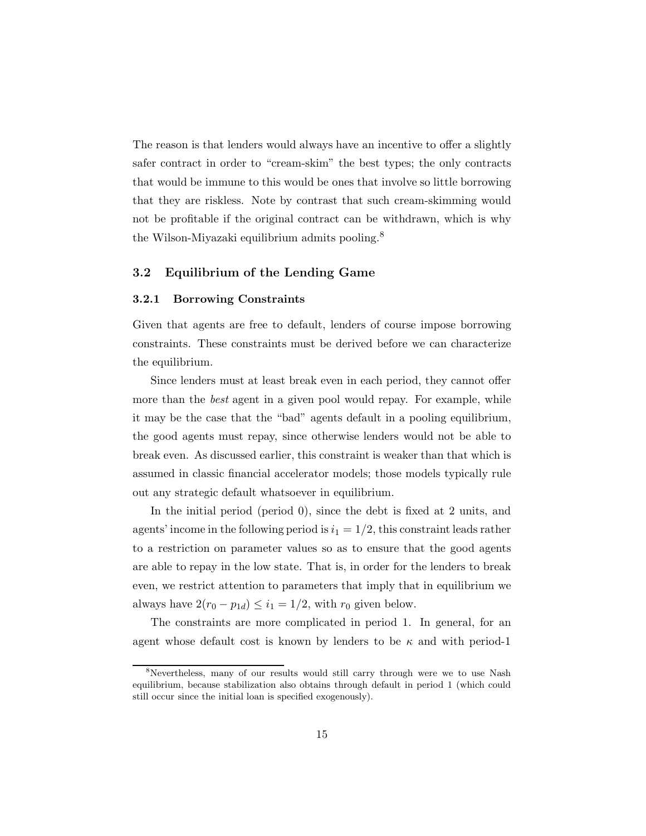The reason is that lenders would always have an incentive to offer a slightly safer contract in order to "cream-skim" the best types; the only contracts that would be immune to this would be ones that involve so little borrowing that they are riskless. Note by contrast that such cream-skimming would not be profitable if the original contract can be withdrawn, which is why the Wilson-Miyazaki equilibrium admits pooling.<sup>8</sup>

## **3.2 Equilibrium of the Lending Game**

#### **3.2.1 Borrowing Constraints**

Given that agents are free to default, lenders of course impose borrowing constraints. These constraints must be derived before we can characterize the equilibrium.

Since lenders must at least break even in each period, they cannot offer more than the *best* agent in a given pool would repay. For example, while it may be the case that the "bad" agents default in a pooling equilibrium, the good agents must repay, since otherwise lenders would not be able to break even. As discussed earlier, this constraint is weaker than that which is assumed in classic financial accelerator models; those models typically rule out any strategic default whatsoever in equilibrium.

In the initial period (period 0), since the debt is fixed at 2 units, and agents' income in the following period is  $i_1 = 1/2$ , this constraint leads rather to a restriction on parameter values so as to ensure that the good agents are able to repay in the low state. That is, in order for the lenders to break even, we restrict attention to parameters that imply that in equilibrium we always have  $2(r_0 - p_{1d}) \leq i_1 = 1/2$ , with  $r_0$  given below.

The constraints are more complicated in period 1. In general, for an agent whose default cost is known by lenders to be  $\kappa$  and with period-1

<sup>8</sup>Nevertheless, many of our results would still carry through were we to use Nash equilibrium, because stabilization also obtains through default in period 1 (which could still occur since the initial loan is specified exogenously).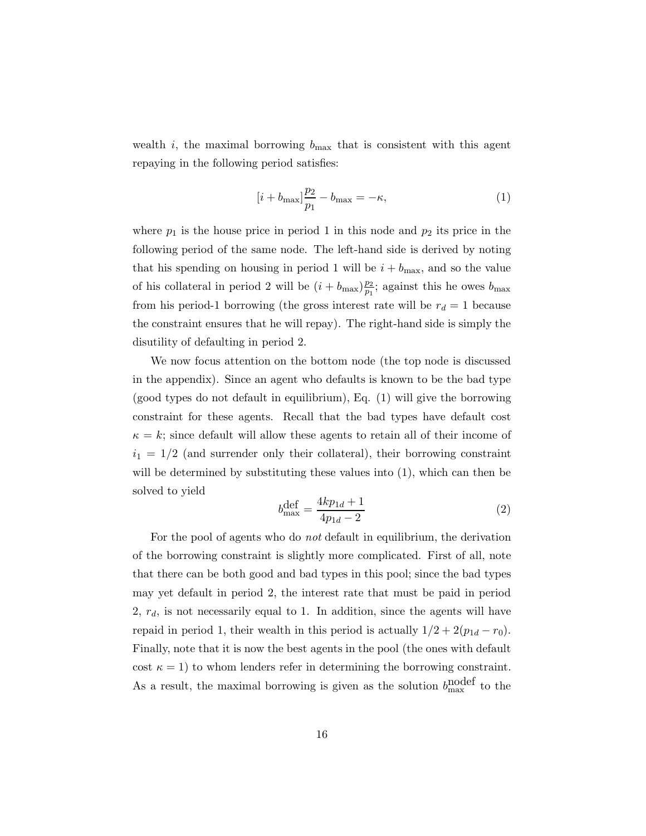wealth i, the maximal borrowing  $b_{\text{max}}$  that is consistent with this agent repaying in the following period satisfies:

$$
[i + b_{\text{max}}] \frac{p_2}{p_1} - b_{\text{max}} = -\kappa,\tag{1}
$$

where  $p_1$  is the house price in period 1 in this node and  $p_2$  its price in the following period of the same node. The left-hand side is derived by noting that his spending on housing in period 1 will be  $i + b_{\text{max}}$ , and so the value of his collateral in period 2 will be  $(i + b_{\text{max}}) \frac{p_2}{p_1}$ ; against this he owes  $b_{\text{max}}$ from his period-1 borrowing (the gross interest rate will be  $r_d = 1$  because the constraint ensures that he will repay). The right-hand side is simply the disutility of defaulting in period 2.

We now focus attention on the bottom node (the top node is discussed in the appendix). Since an agent who defaults is known to be the bad type (good types do not default in equilibrium), Eq. (1) will give the borrowing constraint for these agents. Recall that the bad types have default cost  $\kappa = k$ ; since default will allow these agents to retain all of their income of  $i_1 = 1/2$  (and surrender only their collateral), their borrowing constraint will be determined by substituting these values into (1), which can then be solved to yield

$$
b_{\text{max}}^{\text{def}} = \frac{4kp_{1d} + 1}{4p_{1d} - 2} \tag{2}
$$

For the pool of agents who do *not* default in equilibrium, the derivation of the borrowing constraint is slightly more complicated. First of all, note that there can be both good and bad types in this pool; since the bad types may yet default in period 2, the interest rate that must be paid in period  $2, r_d$ , is not necessarily equal to 1. In addition, since the agents will have repaid in period 1, their wealth in this period is actually  $1/2 + 2(p_{1d} - r_0)$ . Finally, note that it is now the best agents in the pool (the ones with default cost  $\kappa = 1$ ) to whom lenders refer in determining the borrowing constraint. As a result, the maximal borrowing is given as the solution  $b_{\text{max}}^{\text{model}}$  to the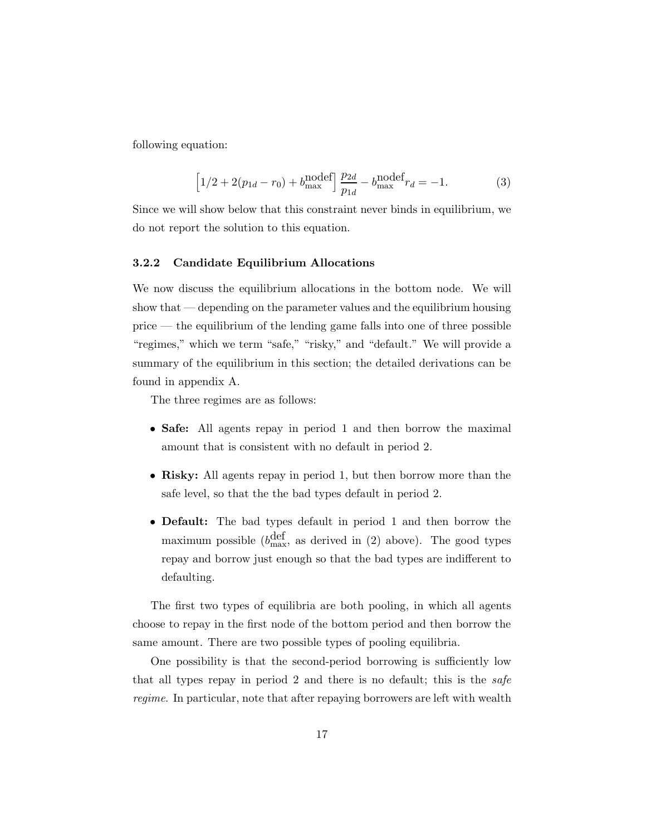following equation:

$$
\[1/2 + 2(p_{1d} - r_0) + b_{\text{max}}^{\text{model}}\] \frac{p_{2d}}{p_{1d}} - b_{\text{max}}^{\text{nodef}} r_d = -1. \tag{3}
$$

Since we will show below that this constraint never binds in equilibrium, we do not report the solution to this equation.

## **3.2.2 Candidate Equilibrium Allocations**

We now discuss the equilibrium allocations in the bottom node. We will show that — depending on the parameter values and the equilibrium housing price — the equilibrium of the lending game falls into one of three possible "regimes," which we term "safe," "risky," and "default." We will provide a summary of the equilibrium in this section; the detailed derivations can be found in appendix A.

The three regimes are as follows:

- **Safe:** All agents repay in period 1 and then borrow the maximal amount that is consistent with no default in period 2.
- **Risky:** All agents repay in period 1, but then borrow more than the safe level, so that the the bad types default in period 2.
- **Default:** The bad types default in period 1 and then borrow the maximum possible  $(b_{\text{max}}^{\text{def}}, a_{\text{s}})$  above as derived in (2) above). The good types repay and borrow just enough so that the bad types are indifferent to defaulting.

The first two types of equilibria are both pooling, in which all agents choose to repay in the first node of the bottom period and then borrow the same amount. There are two possible types of pooling equilibria.

One possibility is that the second-period borrowing is sufficiently low that all types repay in period 2 and there is no default; this is the *safe regime*. In particular, note that after repaying borrowers are left with wealth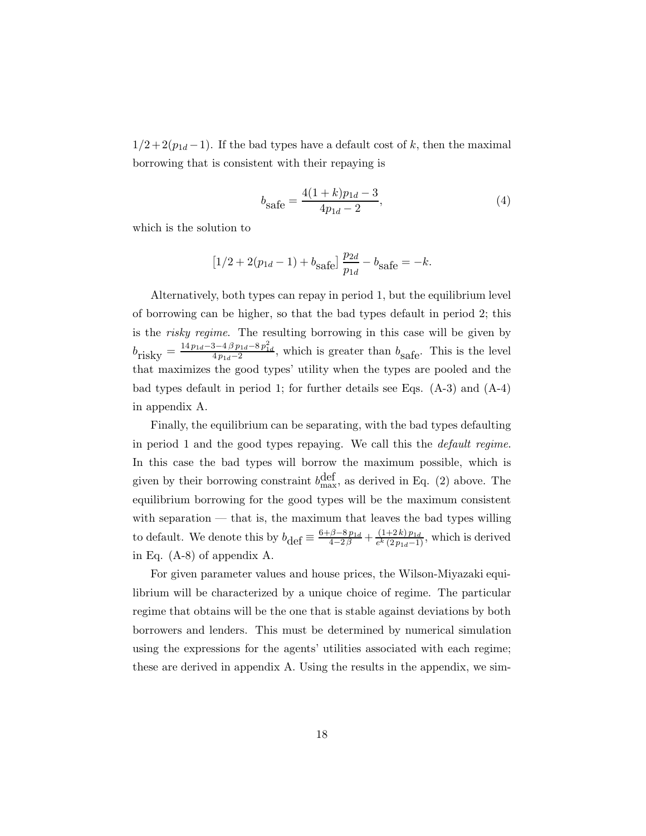$1/2 + 2(p_{1d} - 1)$ . If the bad types have a default cost of k, then the maximal borrowing that is consistent with their repaying is

$$
b_{\text{safe}} = \frac{4(1+k)p_{1d} - 3}{4p_{1d} - 2},\tag{4}
$$

which is the solution to

$$
[1/2 + 2(p_{1d} - 1) + b_{\text{safe}}] \frac{p_{2d}}{p_{1d}} - b_{\text{safe}} = -k.
$$

Alternatively, both types can repay in period 1, but the equilibrium level of borrowing can be higher, so that the bad types default in period 2; this is the *risky regime*. The resulting borrowing in this case will be given by  $b_{\text{risky}} = \frac{14 p_{1d}-3-4\beta p_{1d}-8p_{1d}^2}{4p_{1d}-2}$ , which is greater than  $b_{\text{safe}}$ . This is the level that maximizes the good types' utility when the types are pooled and the bad types default in period 1; for further details see Eqs.  $(A-3)$  and  $(A-4)$ in appendix A.

Finally, the equilibrium can be separating, with the bad types defaulting in period 1 and the good types repaying. We call this the *default regime*. In this case the bad types will borrow the maximum possible, which is given by their borrowing constraint  $b_{\text{max}}^{\text{def}}$ , as derived in Eq. (2) above. The equilibrium borrowing for the good types will be the maximum consistent with separation — that is, the maximum that leaves the bad types willing to default. We denote this by  $b_{\text{def}} \equiv \frac{6+\beta-8p_{1d}}{4-2\beta} + \frac{(1+2k)p_{1d}}{e^k(2p_{1d}-1)}$ , which is derived in Eq. (A-8) of appendix A.

For given parameter values and house prices, the Wilson-Miyazaki equilibrium will be characterized by a unique choice of regime. The particular regime that obtains will be the one that is stable against deviations by both borrowers and lenders. This must be determined by numerical simulation using the expressions for the agents' utilities associated with each regime; these are derived in appendix A. Using the results in the appendix, we sim-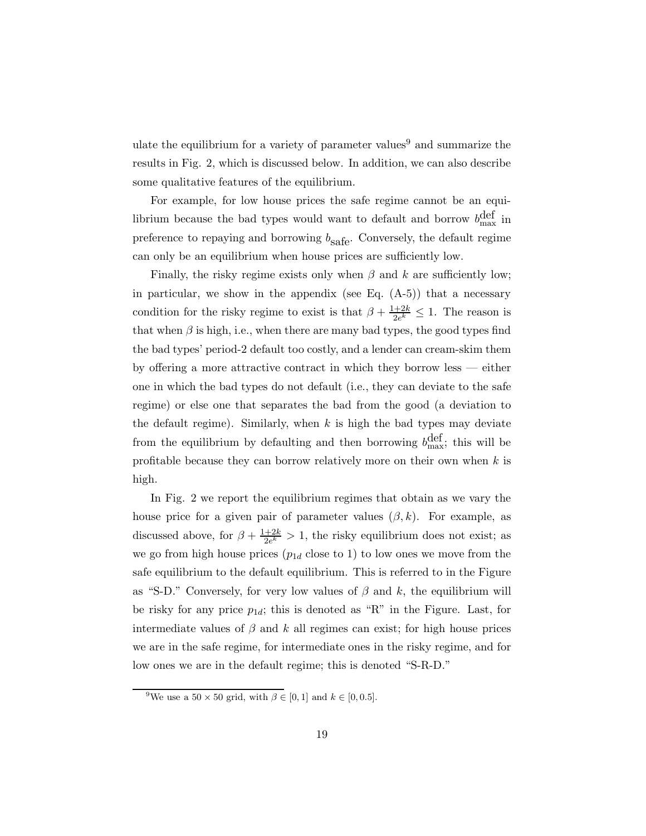ulate the equilibrium for a variety of parameter values<sup>9</sup> and summarize the results in Fig. 2, which is discussed below. In addition, we can also describe some qualitative features of the equilibrium.

For example, for low house prices the safe regime cannot be an equilibrium because the bad types would want to default and borrow  $b_{\text{max}}^{\text{def}}$  in preference to repaying and borrowing  $b_{\rm safe}.$  Conversely, the default regime can only be an equilibrium when house prices are sufficiently low.

Finally, the risky regime exists only when  $\beta$  and k are sufficiently low; in particular, we show in the appendix (see Eq.  $(A-5)$ ) that a necessary condition for the risky regime to exist is that  $\beta + \frac{1+2k}{2e^k} \leq 1$ . The reason is that when  $\beta$  is high, i.e., when there are many bad types, the good types find the bad types' period-2 default too costly, and a lender can cream-skim them by offering a more attractive contract in which they borrow less — either one in which the bad types do not default (i.e., they can deviate to the safe regime) or else one that separates the bad from the good (a deviation to the default regime). Similarly, when  $k$  is high the bad types may deviate from the equilibrium by defaulting and then borrowing  $b_{\text{max}}^{\text{def}}$ ; this will be profitable because they can borrow relatively more on their own when  $k$  is high.

In Fig. 2 we report the equilibrium regimes that obtain as we vary the house price for a given pair of parameter values  $(\beta, k)$ . For example, as discussed above, for  $\beta + \frac{1+2k}{2e^k} > 1$ , the risky equilibrium does not exist; as we go from high house prices  $(p_{1d}$  close to 1) to low ones we move from the safe equilibrium to the default equilibrium. This is referred to in the Figure as "S-D." Conversely, for very low values of  $\beta$  and k, the equilibrium will be risky for any price  $p_{1d}$ ; this is denoted as "R" in the Figure. Last, for intermediate values of  $\beta$  and k all regimes can exist; for high house prices we are in the safe regime, for intermediate ones in the risky regime, and for low ones we are in the default regime; this is denoted "S-R-D."

<sup>&</sup>lt;sup>9</sup>We use a  $50 \times 50$  grid, with  $\beta \in [0, 1]$  and  $k \in [0, 0.5]$ .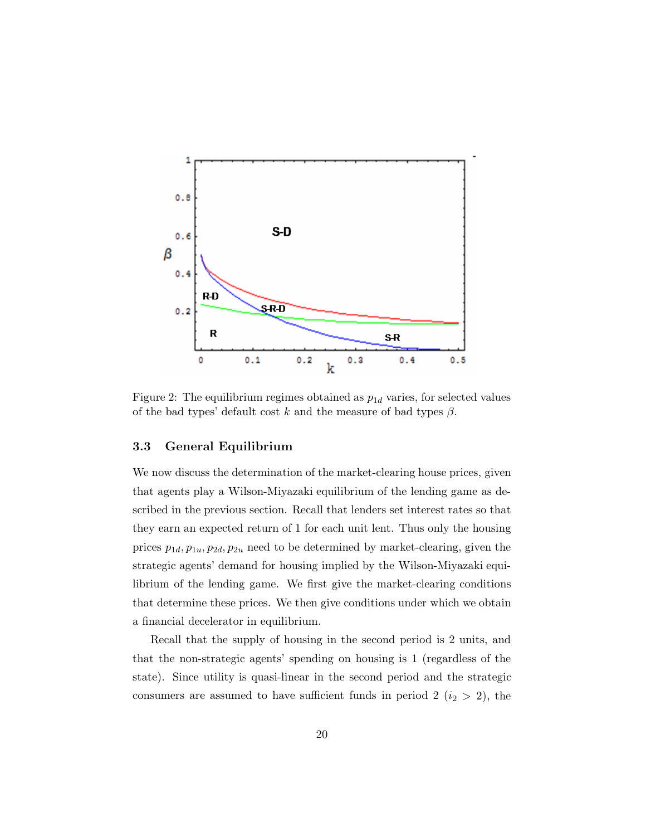

Figure 2: The equilibrium regimes obtained as  $p_{1d}$  varies, for selected values of the bad types' default cost k and the measure of bad types  $\beta$ .

## **3.3 General Equilibrium**

We now discuss the determination of the market-clearing house prices, given that agents play a Wilson-Miyazaki equilibrium of the lending game as described in the previous section. Recall that lenders set interest rates so that they earn an expected return of 1 for each unit lent. Thus only the housing prices  $p_{1d}, p_{1u}, p_{2d}, p_{2u}$  need to be determined by market-clearing, given the strategic agents' demand for housing implied by the Wilson-Miyazaki equilibrium of the lending game. We first give the market-clearing conditions that determine these prices. We then give conditions under which we obtain a financial decelerator in equilibrium.

Recall that the supply of housing in the second period is 2 units, and that the non-strategic agents' spending on housing is 1 (regardless of the state). Since utility is quasi-linear in the second period and the strategic consumers are assumed to have sufficient funds in period 2 ( $i_2 > 2$ ), the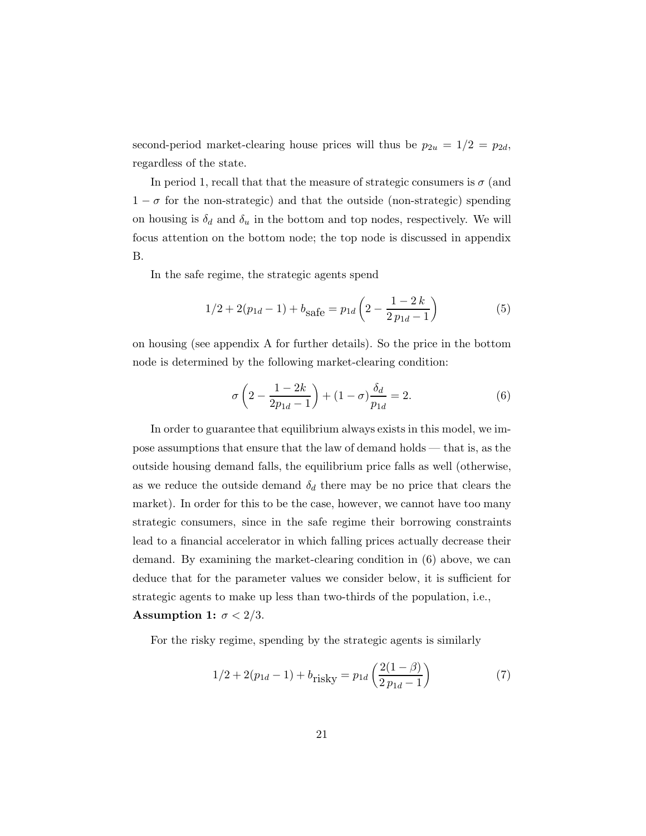second-period market-clearing house prices will thus be  $p_{2u} = 1/2 = p_{2d}$ , regardless of the state.

In period 1, recall that that the measure of strategic consumers is  $\sigma$  (and  $1 - \sigma$  for the non-strategic) and that the outside (non-strategic) spending on housing is  $\delta_d$  and  $\delta_u$  in the bottom and top nodes, respectively. We will focus attention on the bottom node; the top node is discussed in appendix B.

In the safe regime, the strategic agents spend

$$
1/2 + 2(p_{1d} - 1) + b_{\text{safe}} = p_{1d} \left( 2 - \frac{1 - 2k}{2p_{1d} - 1} \right)
$$
 (5)

on housing (see appendix A for further details). So the price in the bottom node is determined by the following market-clearing condition:

$$
\sigma\left(2-\frac{1-2k}{2p_{1d}-1}\right)+(1-\sigma)\frac{\delta_d}{p_{1d}}=2.\tag{6}
$$

In order to guarantee that equilibrium always exists in this model, we impose assumptions that ensure that the law of demand holds — that is, as the outside housing demand falls, the equilibrium price falls as well (otherwise, as we reduce the outside demand  $\delta_d$  there may be no price that clears the market). In order for this to be the case, however, we cannot have too many strategic consumers, since in the safe regime their borrowing constraints lead to a financial accelerator in which falling prices actually decrease their demand. By examining the market-clearing condition in (6) above, we can deduce that for the parameter values we consider below, it is sufficient for strategic agents to make up less than two-thirds of the population, i.e., **Assumption 1:**  $\sigma < 2/3$ .

For the risky regime, spending by the strategic agents is similarly

$$
1/2 + 2(p_{1d} - 1) + b_{\text{risky}} = p_{1d} \left( \frac{2(1 - \beta)}{2 p_{1d} - 1} \right)
$$
 (7)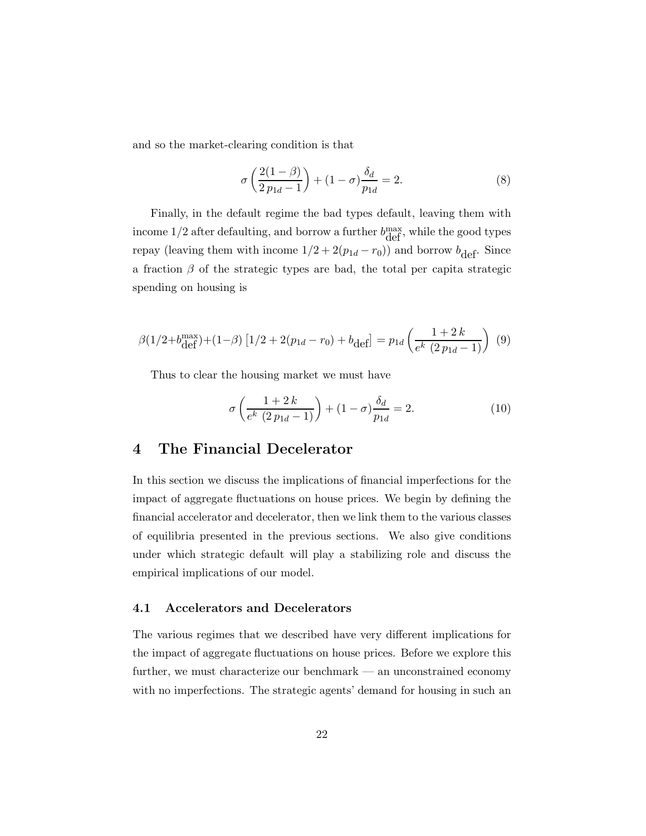and so the market-clearing condition is that

$$
\sigma\left(\frac{2(1-\beta)}{2p_{1d}-1}\right) + (1-\sigma)\frac{\delta_d}{p_{1d}} = 2.
$$
\n(8)

Finally, in the default regime the bad types default, leaving them with income  $1/2$  after defaulting, and borrow a further  $b_{\text{def}}^{\text{max}}$ , while the good types repay (leaving them with income  $1/2 + 2(p_{1d} - r_0)$ ) and borrow  $b_{\text{def}}$ . Since a fraction  $\beta$  of the strategic types are bad, the total per capita strategic spending on housing is

$$
\beta(1/2 + b_{\text{def}}^{\text{max}}) + (1 - \beta) \left[ 1/2 + 2(p_{1d} - r_0) + b_{\text{def}} \right] = p_{1d} \left( \frac{1 + 2 k}{e^k (2 p_{1d} - 1)} \right) \tag{9}
$$

Thus to clear the housing market we must have

$$
\sigma \left( \frac{1+2k}{e^k \ (2\,p_{1d}-1)} \right) + (1-\sigma) \frac{\delta_d}{p_{1d}} = 2. \tag{10}
$$

# **4 The Financial Decelerator**

In this section we discuss the implications of financial imperfections for the impact of aggregate fluctuations on house prices. We begin by defining the financial accelerator and decelerator, then we link them to the various classes of equilibria presented in the previous sections. We also give conditions under which strategic default will play a stabilizing role and discuss the empirical implications of our model.

## **4.1 Accelerators and Decelerators**

The various regimes that we described have very different implications for the impact of aggregate fluctuations on house prices. Before we explore this further, we must characterize our benchmark — an unconstrained economy with no imperfections. The strategic agents' demand for housing in such an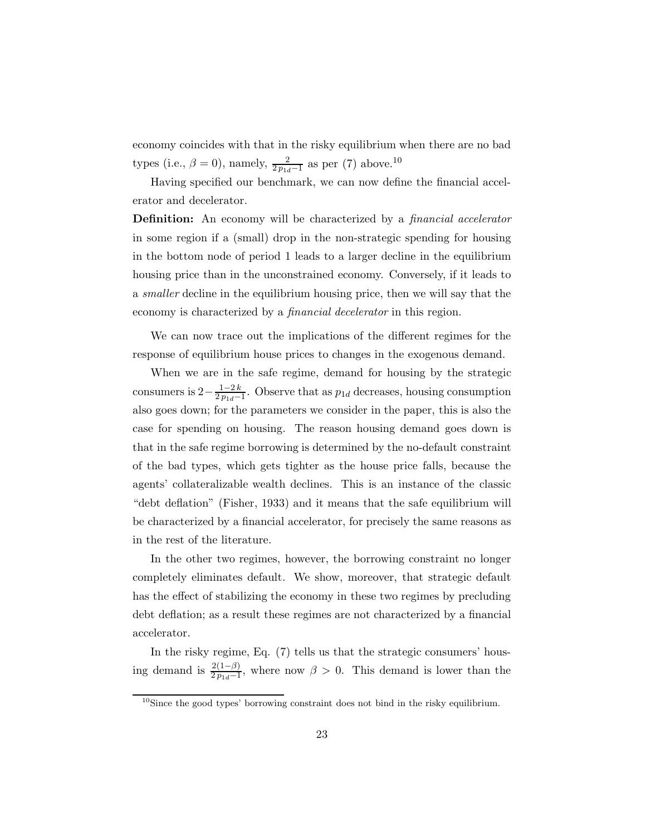economy coincides with that in the risky equilibrium when there are no bad types (i.e.,  $\beta = 0$ ), namely,  $\frac{2}{2p_{1d}-1}$  as per (7) above.<sup>10</sup>

Having specified our benchmark, we can now define the financial accelerator and decelerator.

**Definition:** An economy will be characterized by a *financial accelerator* in some region if a (small) drop in the non-strategic spending for housing in the bottom node of period 1 leads to a larger decline in the equilibrium housing price than in the unconstrained economy. Conversely, if it leads to a *smaller* decline in the equilibrium housing price, then we will say that the economy is characterized by a *financial decelerator* in this region.

We can now trace out the implications of the different regimes for the response of equilibrium house prices to changes in the exogenous demand.

When we are in the safe regime, demand for housing by the strategic consumers is  $2 - \frac{1-2k}{2p_{1d}-1}$ . Observe that as  $p_{1d}$  decreases, housing consumption also goes down; for the parameters we consider in the paper, this is also the case for spending on housing. The reason housing demand goes down is that in the safe regime borrowing is determined by the no-default constraint of the bad types, which gets tighter as the house price falls, because the agents' collateralizable wealth declines. This is an instance of the classic "debt deflation" (Fisher, 1933) and it means that the safe equilibrium will be characterized by a financial accelerator, for precisely the same reasons as in the rest of the literature.

In the other two regimes, however, the borrowing constraint no longer completely eliminates default. We show, moreover, that strategic default has the effect of stabilizing the economy in these two regimes by precluding debt deflation; as a result these regimes are not characterized by a financial accelerator.

In the risky regime, Eq. (7) tells us that the strategic consumers' housing demand is  $\frac{2(1-\beta)}{2p_{1d}-1}$ , where now  $\beta > 0$ . This demand is lower than the

<sup>&</sup>lt;sup>10</sup>Since the good types' borrowing constraint does not bind in the risky equilibrium.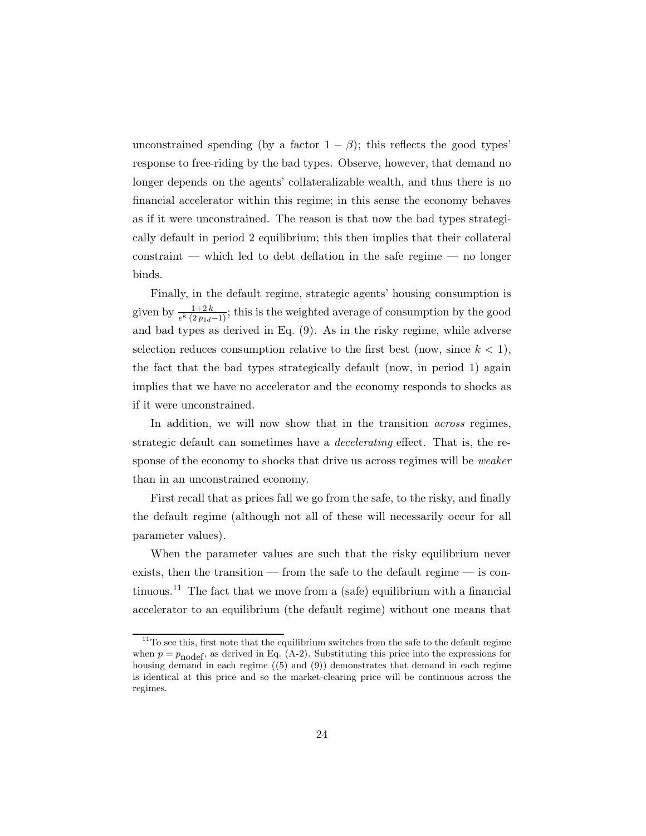unconstrained spending (by a factor  $1 - \beta$ ); this reflects the good types' response to free-riding by the bad types. Observe, however, that demand no longer depends on the agents' collateralizable wealth, and thus there is no financial accelerator within this regime; in this sense the economy behaves as if it were unconstrained. The reason is that now the bad types strategically default in period 2 equilibrium; this then implies that their collateral constraint — which led to debt deflation in the safe regime — no longer binds.

Finally, in the default regime, strategic agents' housing consumption is given by  $\frac{1+2k}{e^k(2p_{1d}-1)}$ ; this is the weighted average of consumption by the good and bad types as derived in Eq. (9). As in the risky regime, while adverse selection reduces consumption relative to the first best (now, since  $k < 1$ ), the fact that the bad types strategically default (now, in period 1) again implies that we have no accelerator and the economy responds to shocks as if it were unconstrained.

In addition, we will now show that in the transition *across* regimes, strategic default can sometimes have a *decelerating* effect. That is, the response of the economy to shocks that drive us across regimes will be *weaker* than in an unconstrained economy.

First recall that as prices fall we go from the safe, to the risky, and finally the default regime (although not all of these will necessarily occur for all parameter values).

When the parameter values are such that the risky equilibrium never exists, then the transition — from the safe to the default regime — is continuous.<sup>11</sup> The fact that we move from a (safe) equilibrium with a financial accelerator to an equilibrium (the default regime) without one means that

 $11$ To see this, first note that the equilibrium switches from the safe to the default regime when  $p = p_{\text{nodef}}$ , as derived in Eq. (A-2). Substituting this price into the expressions for housing demand in each regime ((5) and (9)) demonstrates that demand in each regime is identical at this price and so the market-clearing price will be continuous across the regimes.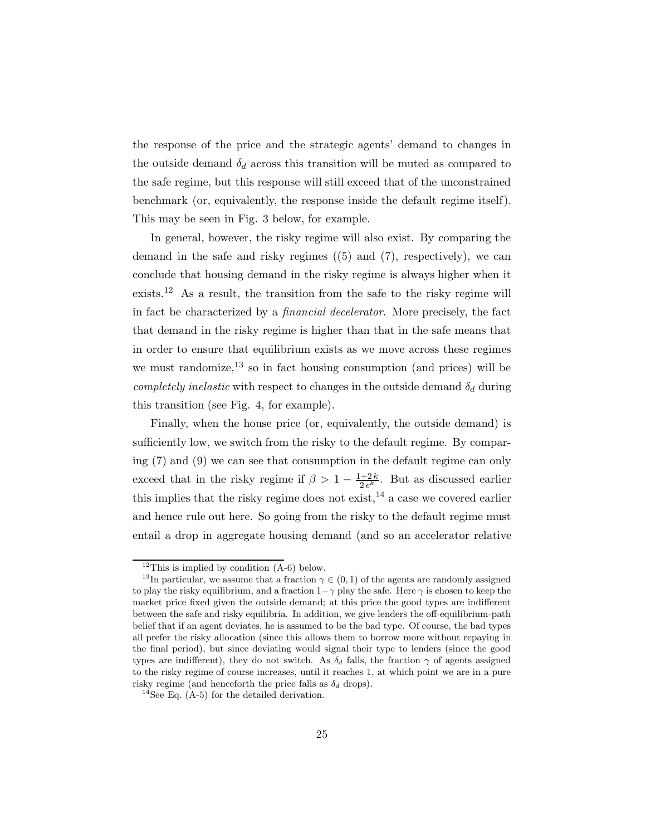the response of the price and the strategic agents' demand to changes in the outside demand  $\delta_d$  across this transition will be muted as compared to the safe regime, but this response will still exceed that of the unconstrained benchmark (or, equivalently, the response inside the default regime itself). This may be seen in Fig. 3 below, for example.

In general, however, the risky regime will also exist. By comparing the demand in the safe and risky regimes ((5) and (7), respectively), we can conclude that housing demand in the risky regime is always higher when it exists.<sup>12</sup> As a result, the transition from the safe to the risky regime will in fact be characterized by a *financial decelerator*. More precisely, the fact that demand in the risky regime is higher than that in the safe means that in order to ensure that equilibrium exists as we move across these regimes we must randomize,  $^{13}$  so in fact housing consumption (and prices) will be *completely inelastic* with respect to changes in the outside demand  $\delta_d$  during this transition (see Fig. 4, for example).

Finally, when the house price (or, equivalently, the outside demand) is sufficiently low, we switch from the risky to the default regime. By comparing (7) and (9) we can see that consumption in the default regime can only exceed that in the risky regime if  $\beta > 1 - \frac{1+2k}{2e^k}$ . But as discussed earlier this implies that the risky regime does not exist,  $14$  a case we covered earlier and hence rule out here. So going from the risky to the default regime must entail a drop in aggregate housing demand (and so an accelerator relative

<sup>&</sup>lt;sup>12</sup>This is implied by condition  $(A-6)$  below.

<sup>&</sup>lt;sup>13</sup>In particular, we assume that a fraction  $\gamma \in (0,1)$  of the agents are randomly assigned to play the risky equilibrium, and a fraction  $1-\gamma$  play the safe. Here  $\gamma$  is chosen to keep the market price fixed given the outside demand; at this price the good types are indifferent between the safe and risky equilibria. In addition, we give lenders the off-equilibrium-path belief that if an agent deviates, he is assumed to be the bad type. Of course, the bad types all prefer the risky allocation (since this allows them to borrow more without repaying in the final period), but since deviating would signal their type to lenders (since the good types are indifferent), they do not switch. As  $\delta_d$  falls, the fraction  $\gamma$  of agents assigned to the risky regime of course increases, until it reaches 1, at which point we are in a pure risky regime (and henceforth the price falls as  $\delta_d$  drops).

<sup>&</sup>lt;sup>14</sup>See Eq.  $(A-5)$  for the detailed derivation.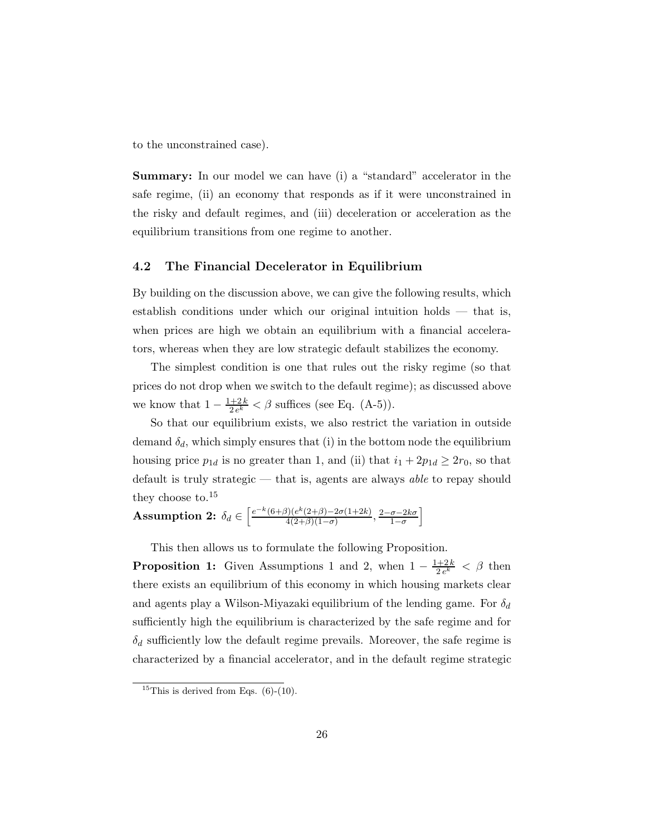to the unconstrained case).

**Summary:** In our model we can have (i) a "standard" accelerator in the safe regime, (ii) an economy that responds as if it were unconstrained in the risky and default regimes, and (iii) deceleration or acceleration as the equilibrium transitions from one regime to another.

## **4.2 The Financial Decelerator in Equilibrium**

By building on the discussion above, we can give the following results, which establish conditions under which our original intuition holds — that is, when prices are high we obtain an equilibrium with a financial accelerators, whereas when they are low strategic default stabilizes the economy.

The simplest condition is one that rules out the risky regime (so that prices do not drop when we switch to the default regime); as discussed above we know that  $1 - \frac{1+2k}{2e^k} < \beta$  suffices (see Eq. (A-5)).

So that our equilibrium exists, we also restrict the variation in outside demand  $\delta_d$ , which simply ensures that (i) in the bottom node the equilibrium housing price  $p_{1d}$  is no greater than 1, and (ii) that  $i_1 + 2p_{1d} \ge 2r_0$ , so that default is truly strategic — that is, agents are always *able* to repay should they choose to. $15$ 

**Assumption 2:**  $\delta_d \in \left[ \frac{e^{-k}(6+\beta)(e^{k}(2+\beta)-2\sigma(1+2k)}{4(2+\beta)(1-\sigma)}, \frac{2-\sigma-2k\sigma}{1-\sigma} \right]$ i

This then allows us to formulate the following Proposition.

**Proposition 1:** Given Assumptions 1 and 2, when  $1 - \frac{1+2k}{2e^k} < \beta$  then there exists an equilibrium of this economy in which housing markets clear and agents play a Wilson-Miyazaki equilibrium of the lending game. For  $\delta_d$ sufficiently high the equilibrium is characterized by the safe regime and for  $\delta_d$  sufficiently low the default regime prevails. Moreover, the safe regime is characterized by a financial accelerator, and in the default regime strategic

<sup>&</sup>lt;sup>15</sup>This is derived from Eqs.  $(6)-(10)$ .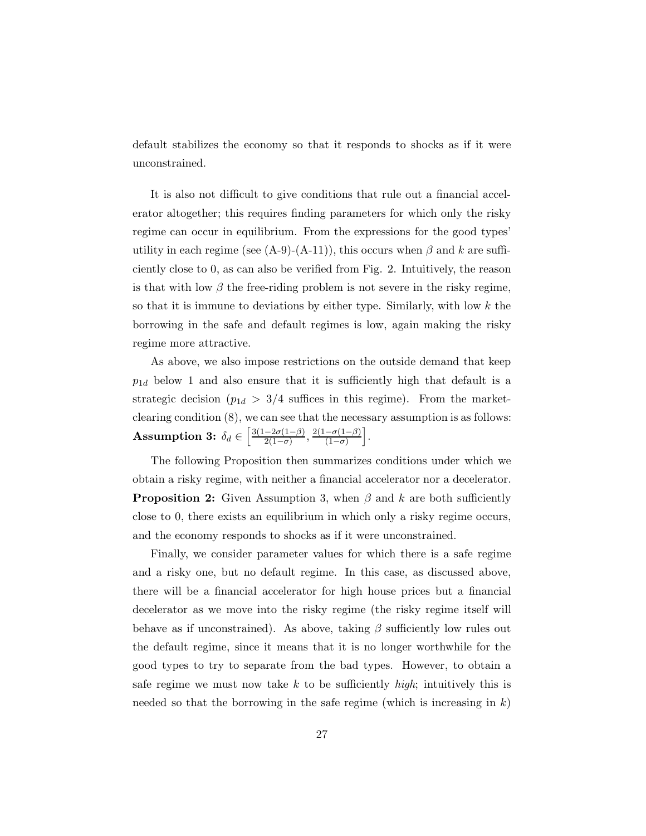default stabilizes the economy so that it responds to shocks as if it were unconstrained.

It is also not difficult to give conditions that rule out a financial accelerator altogether; this requires finding parameters for which only the risky regime can occur in equilibrium. From the expressions for the good types' utility in each regime (see  $(A-9)-(A-11)$ ), this occurs when  $\beta$  and k are sufficiently close to 0, as can also be verified from Fig. 2. Intuitively, the reason is that with low  $\beta$  the free-riding problem is not severe in the risky regime, so that it is immune to deviations by either type. Similarly, with low  $k$  the borrowing in the safe and default regimes is low, again making the risky regime more attractive.

As above, we also impose restrictions on the outside demand that keep  $p_{1d}$  below 1 and also ensure that it is sufficiently high that default is a strategic decision ( $p_{1d} > 3/4$  suffices in this regime). From the marketclearing condition (8), we can see that the necessary assumption is as follows: **Assumption 3:**  $\delta_d \in \left[\frac{3(1-2\sigma(1-\beta)}{2(1-\sigma)}, \frac{2(1-\sigma(1-\beta))}{(1-\sigma)}\right]$ i .

The following Proposition then summarizes conditions under which we obtain a risky regime, with neither a financial accelerator nor a decelerator. **Proposition 2:** Given Assumption 3, when  $\beta$  and k are both sufficiently close to 0, there exists an equilibrium in which only a risky regime occurs, and the economy responds to shocks as if it were unconstrained.

Finally, we consider parameter values for which there is a safe regime and a risky one, but no default regime. In this case, as discussed above, there will be a financial accelerator for high house prices but a financial decelerator as we move into the risky regime (the risky regime itself will behave as if unconstrained). As above, taking  $\beta$  sufficiently low rules out the default regime, since it means that it is no longer worthwhile for the good types to try to separate from the bad types. However, to obtain a safe regime we must now take k to be sufficiently *high*; intuitively this is needed so that the borrowing in the safe regime (which is increasing in  $k$ )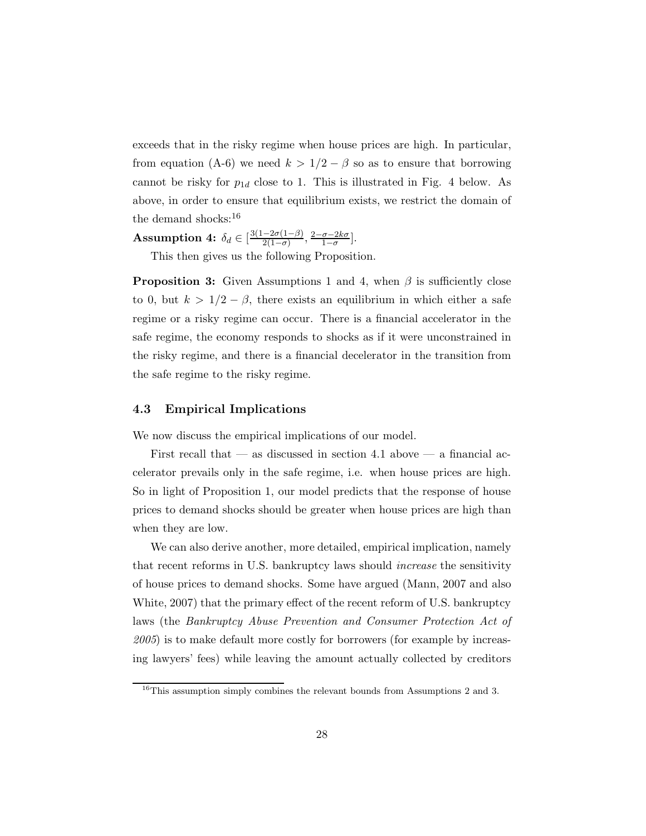exceeds that in the risky regime when house prices are high. In particular, from equation (A-6) we need  $k > 1/2 - \beta$  so as to ensure that borrowing cannot be risky for  $p_{1d}$  close to 1. This is illustrated in Fig. 4 below. As above, in order to ensure that equilibrium exists, we restrict the domain of the demand shocks:<sup>16</sup>

**Assumption 4:**  $\delta_d \in [\frac{3(1-2\sigma(1-\beta)}{2(1-\sigma)}, \frac{2-\sigma-2k\sigma}{1-\sigma}].$ 

This then gives us the following Proposition.

**Proposition 3:** Given Assumptions 1 and 4, when  $\beta$  is sufficiently close to 0, but  $k > 1/2 - \beta$ , there exists an equilibrium in which either a safe regime or a risky regime can occur. There is a financial accelerator in the safe regime, the economy responds to shocks as if it were unconstrained in the risky regime, and there is a financial decelerator in the transition from the safe regime to the risky regime.

## **4.3 Empirical Implications**

We now discuss the empirical implications of our model.

First recall that — as discussed in section 4.1 above — a financial accelerator prevails only in the safe regime, i.e. when house prices are high. So in light of Proposition 1, our model predicts that the response of house prices to demand shocks should be greater when house prices are high than when they are low.

We can also derive another, more detailed, empirical implication, namely that recent reforms in U.S. bankruptcy laws should *increase* the sensitivity of house prices to demand shocks. Some have argued (Mann, 2007 and also White, 2007) that the primary effect of the recent reform of U.S. bankruptcy laws (the *Bankruptcy Abuse Prevention and Consumer Protection Act of 2005*) is to make default more costly for borrowers (for example by increasing lawyers' fees) while leaving the amount actually collected by creditors

<sup>&</sup>lt;sup>16</sup>This assumption simply combines the relevant bounds from Assumptions 2 and 3.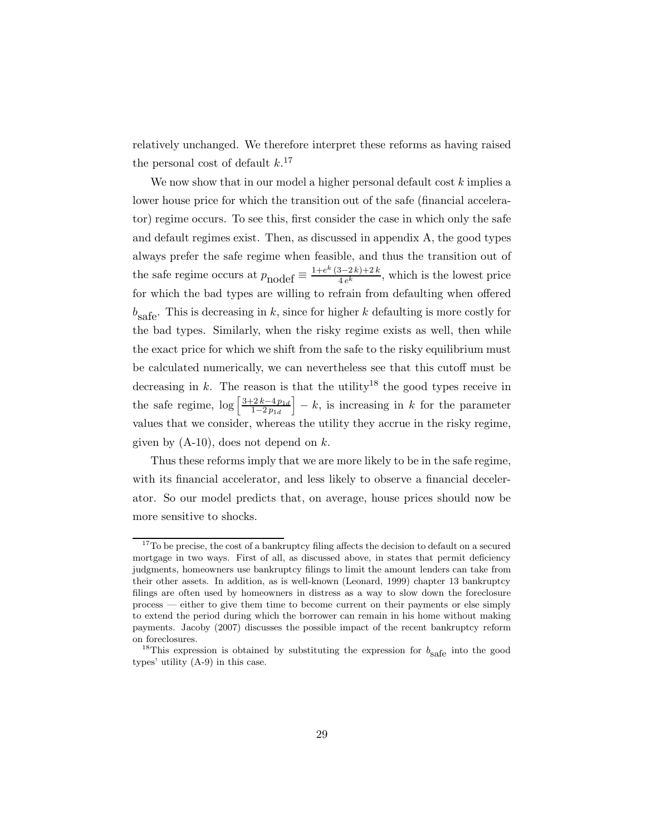relatively unchanged. We therefore interpret these reforms as having raised the personal cost of default  $k$ <sup>17</sup>

We now show that in our model a higher personal default cost  $k$  implies a lower house price for which the transition out of the safe (financial accelerator) regime occurs. To see this, first consider the case in which only the safe and default regimes exist. Then, as discussed in appendix A, the good types always prefer the safe regime when feasible, and thus the transition out of the safe regime occurs at  $p_{\text{nodef}} \equiv \frac{1 + e^k (3 - 2k) + 2k}{4 e^k}$ , which is the lowest price for which the bad types are willing to refrain from defaulting when offered  $b_{\text{safe}}$ . This is decreasing in k, since for higher k defaulting is more costly for the bad types. Similarly, when the risky regime exists as well, then while the exact price for which we shift from the safe to the risky equilibrium must be calculated numerically, we can nevertheless see that this cutoff must be decreasing in k. The reason is that the utility<sup>18</sup> the good types receive in the safe regime,  $\log \left[\frac{3+2k-4p_{1d}}{1-2p_{1d}}\right]$  $1-2 p_{1d}$  $\vert -k$ , is increasing in k for the parameter values that we consider, whereas the utility they accrue in the risky regime, given by  $(A-10)$ , does not depend on k.

Thus these reforms imply that we are more likely to be in the safe regime, with its financial accelerator, and less likely to observe a financial decelerator. So our model predicts that, on average, house prices should now be more sensitive to shocks.

 $^{17}\mathrm{To}$  be precise, the cost of a bankruptcy filing affects the decision to default on a secured mortgage in two ways. First of all, as discussed above, in states that permit deficiency judgments, homeowners use bankruptcy filings to limit the amount lenders can take from their other assets. In addition, as is well-known (Leonard, 1999) chapter 13 bankruptcy filings are often used by homeowners in distress as a way to slow down the foreclosure process — either to give them time to become current on their payments or else simply to extend the period during which the borrower can remain in his home without making payments. Jacoby (2007) discusses the possible impact of the recent bankruptcy reform on foreclosures.

<sup>&</sup>lt;sup>18</sup>This expression is obtained by substituting the expression for  $b_{\text{safe}}$  into the good types' utility (A-9) in this case.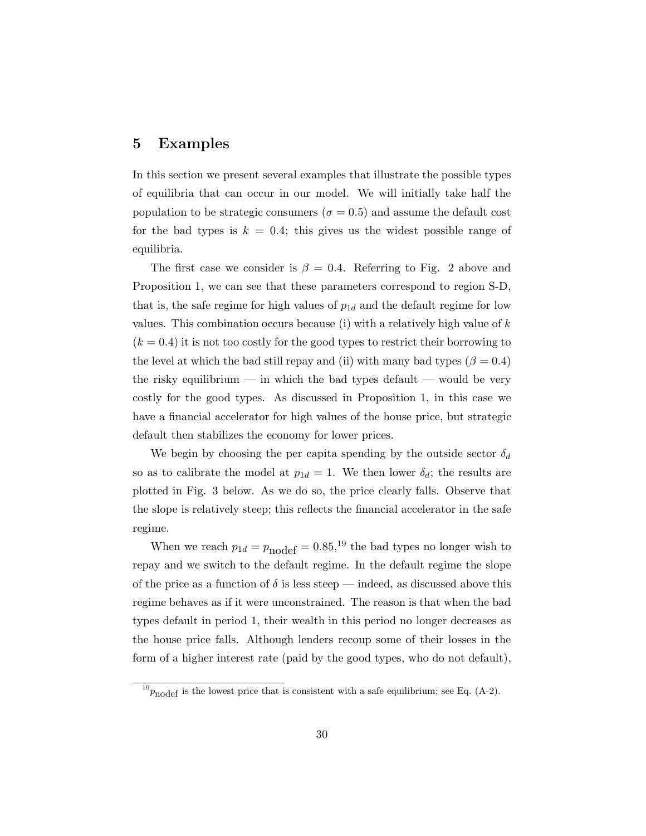## **5 Examples**

In this section we present several examples that illustrate the possible types of equilibria that can occur in our model. We will initially take half the population to be strategic consumers ( $\sigma = 0.5$ ) and assume the default cost for the bad types is  $k = 0.4$ ; this gives us the widest possible range of equilibria.

The first case we consider is  $\beta = 0.4$ . Referring to Fig. 2 above and Proposition 1, we can see that these parameters correspond to region S-D, that is, the safe regime for high values of  $p_{1d}$  and the default regime for low values. This combination occurs because (i) with a relatively high value of  $k$  $(k = 0.4)$  it is not too costly for the good types to restrict their borrowing to the level at which the bad still repay and (ii) with many bad types  $(\beta = 0.4)$ the risky equilibrium — in which the bad types default — would be very costly for the good types. As discussed in Proposition 1, in this case we have a financial accelerator for high values of the house price, but strategic default then stabilizes the economy for lower prices.

We begin by choosing the per capita spending by the outside sector  $\delta_d$ so as to calibrate the model at  $p_{1d} = 1$ . We then lower  $\delta_d$ ; the results are plotted in Fig. 3 below. As we do so, the price clearly falls. Observe that the slope is relatively steep; this reflects the financial accelerator in the safe regime.

When we reach  $p_{1d} = p_{\text{nodef}} = 0.85$ ,<sup>19</sup> the bad types no longer wish to repay and we switch to the default regime. In the default regime the slope of the price as a function of  $\delta$  is less steep — indeed, as discussed above this regime behaves as if it were unconstrained. The reason is that when the bad types default in period 1, their wealth in this period no longer decreases as the house price falls. Although lenders recoup some of their losses in the form of a higher interest rate (paid by the good types, who do not default),

 $^{19}p_{\text{nodef}}$  is the lowest price that is consistent with a safe equilibrium; see Eq. (A-2).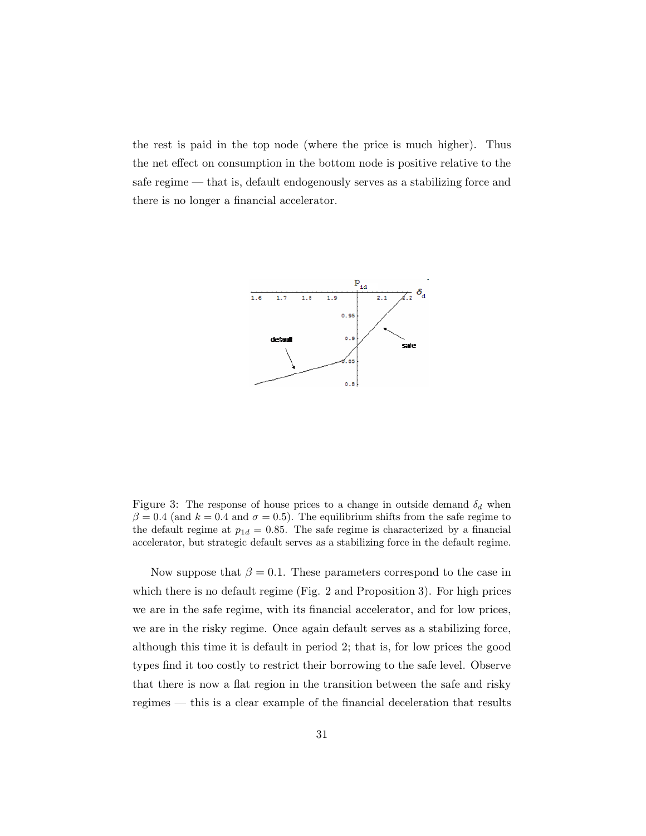the rest is paid in the top node (where the price is much higher). Thus the net effect on consumption in the bottom node is positive relative to the safe regime — that is, default endogenously serves as a stabilizing force and there is no longer a financial accelerator.



Figure 3: The response of house prices to a change in outside demand  $\delta_d$  when  $\beta = 0.4$  (and  $k = 0.4$  and  $\sigma = 0.5$ ). The equilibrium shifts from the safe regime to the default regime at  $p_{1d} = 0.85$ . The safe regime is characterized by a financial accelerator, but strategic default serves as a stabilizing force in the default regime.

Now suppose that  $\beta = 0.1$ . These parameters correspond to the case in which there is no default regime (Fig. 2 and Proposition 3). For high prices we are in the safe regime, with its financial accelerator, and for low prices, we are in the risky regime. Once again default serves as a stabilizing force, although this time it is default in period 2; that is, for low prices the good types find it too costly to restrict their borrowing to the safe level. Observe that there is now a flat region in the transition between the safe and risky regimes — this is a clear example of the financial deceleration that results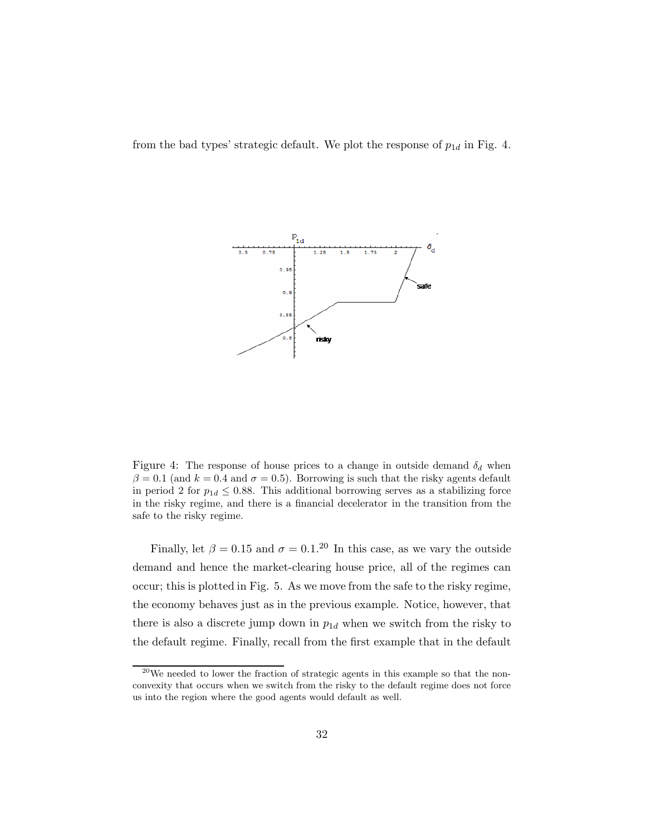from the bad types' strategic default. We plot the response of  $p_{1d}$  in Fig. 4.



Figure 4: The response of house prices to a change in outside demand  $\delta_d$  when  $\beta = 0.1$  (and  $k = 0.4$  and  $\sigma = 0.5$ ). Borrowing is such that the risky agents default in period 2 for  $p_{1d} \leq 0.88$ . This additional borrowing serves as a stabilizing force in the risky regime, and there is a financial decelerator in the transition from the safe to the risky regime.

Finally, let  $\beta = 0.15$  and  $\sigma = 0.1$ .<sup>20</sup> In this case, as we vary the outside demand and hence the market-clearing house price, all of the regimes can occur; this is plotted in Fig. 5. As we move from the safe to the risky regime, the economy behaves just as in the previous example. Notice, however, that there is also a discrete jump down in  $p_{1d}$  when we switch from the risky to the default regime. Finally, recall from the first example that in the default

 $^{20}$ We needed to lower the fraction of strategic agents in this example so that the nonconvexity that occurs when we switch from the risky to the default regime does not force us into the region where the good agents would default as well.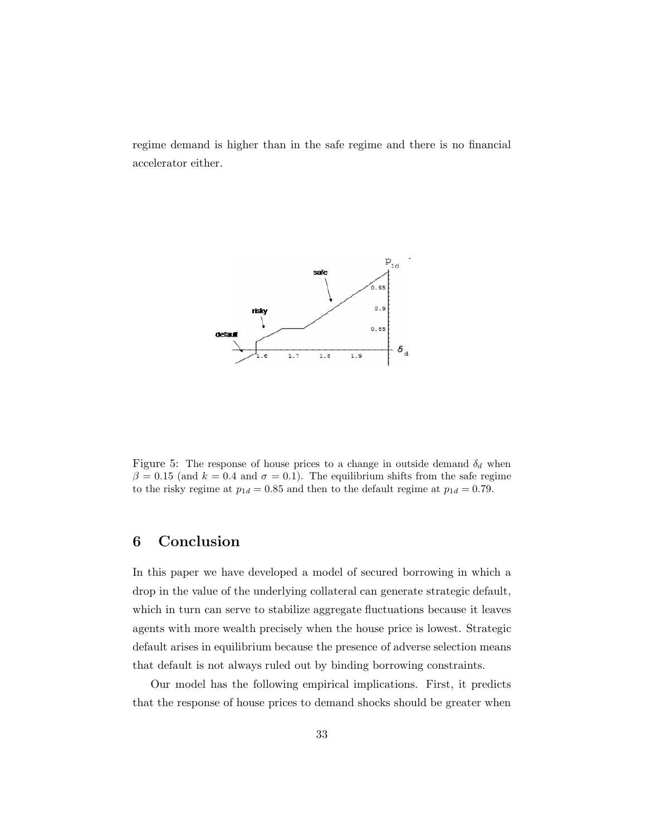regime demand is higher than in the safe regime and there is no financial accelerator either.



Figure 5: The response of house prices to a change in outside demand  $\delta_d$  when  $\beta = 0.15$  (and  $k = 0.4$  and  $\sigma = 0.1$ ). The equilibrium shifts from the safe regime to the risky regime at  $p_{1d} = 0.85$  and then to the default regime at  $p_{1d} = 0.79$ .

# **6 Conclusion**

In this paper we have developed a model of secured borrowing in which a drop in the value of the underlying collateral can generate strategic default, which in turn can serve to stabilize aggregate fluctuations because it leaves agents with more wealth precisely when the house price is lowest. Strategic default arises in equilibrium because the presence of adverse selection means that default is not always ruled out by binding borrowing constraints.

Our model has the following empirical implications. First, it predicts that the response of house prices to demand shocks should be greater when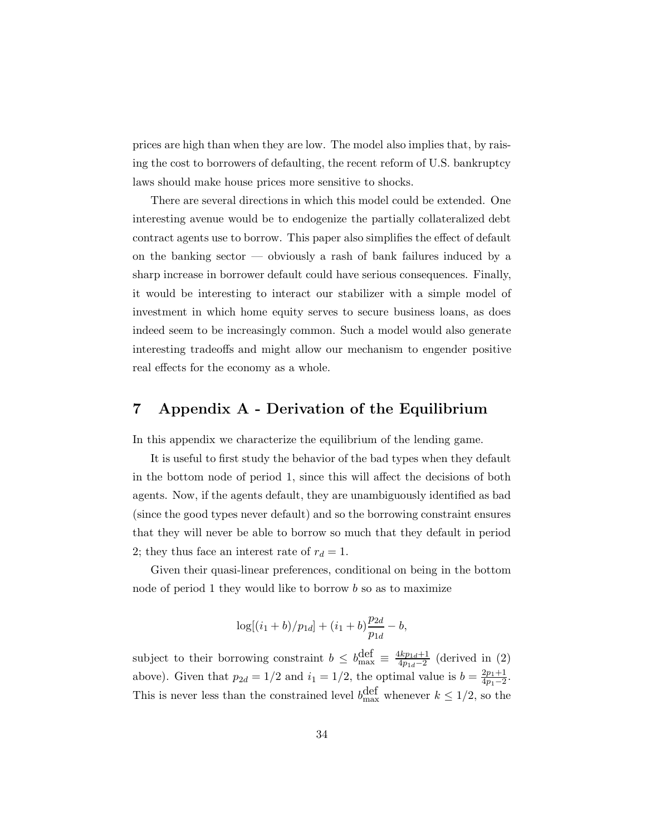prices are high than when they are low. The model also implies that, by raising the cost to borrowers of defaulting, the recent reform of U.S. bankruptcy laws should make house prices more sensitive to shocks.

There are several directions in which this model could be extended. One interesting avenue would be to endogenize the partially collateralized debt contract agents use to borrow. This paper also simplifies the effect of default on the banking sector — obviously a rash of bank failures induced by a sharp increase in borrower default could have serious consequences. Finally, it would be interesting to interact our stabilizer with a simple model of investment in which home equity serves to secure business loans, as does indeed seem to be increasingly common. Such a model would also generate interesting tradeoffs and might allow our mechanism to engender positive real effects for the economy as a whole.

# **7 Appendix A - Derivation of the Equilibrium**

In this appendix we characterize the equilibrium of the lending game.

It is useful to first study the behavior of the bad types when they default in the bottom node of period 1, since this will affect the decisions of both agents. Now, if the agents default, they are unambiguously identified as bad (since the good types never default) and so the borrowing constraint ensures that they will never be able to borrow so much that they default in period 2; they thus face an interest rate of  $r_d = 1$ .

Given their quasi-linear preferences, conditional on being in the bottom node of period 1 they would like to borrow b so as to maximize

$$
\log[(i_1+b)/p_{1d}] + (i_1+b)\frac{p_{2d}}{p_{1d}} - b,
$$

subject to their borrowing constraint  $b \leq b_{\text{max}}^{\text{def}} \equiv \frac{4kp_{1d}+1}{4p_{1d}-2}$  (derived in (2) above). Given that  $p_{2d} = 1/2$  and  $i_1 = 1/2$ , the optimal value is  $b = \frac{2p_1+1}{4p_1-2}$ . This is never less than the constrained level  $b_{\text{max}}^{\text{def}}$  whenever  $k \leq 1/2$ , so the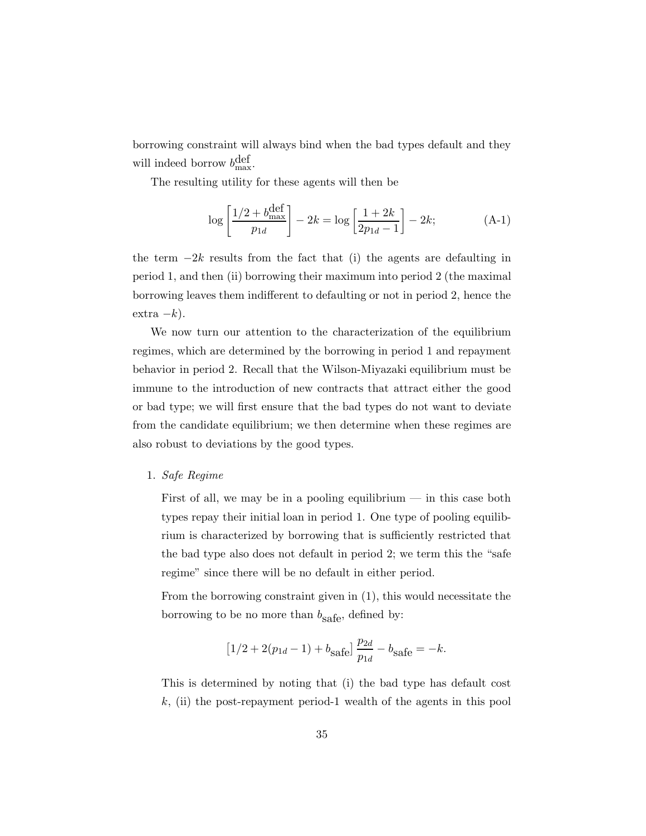borrowing constraint will always bind when the bad types default and they will indeed borrow  $b_{\text{max}}^{\text{def}}$ .

The resulting utility for these agents will then be

$$
\log \left[ \frac{1/2 + b_{\text{max}}^{\text{def}}}{p_{1d}} \right] - 2k = \log \left[ \frac{1 + 2k}{2p_{1d} - 1} \right] - 2k; \tag{A-1}
$$

the term  $-2k$  results from the fact that (i) the agents are defaulting in period 1, and then (ii) borrowing their maximum into period 2 (the maximal borrowing leaves them indifferent to defaulting or not in period 2, hence the  $extra -k$ ).

We now turn our attention to the characterization of the equilibrium regimes, which are determined by the borrowing in period 1 and repayment behavior in period 2. Recall that the Wilson-Miyazaki equilibrium must be immune to the introduction of new contracts that attract either the good or bad type; we will first ensure that the bad types do not want to deviate from the candidate equilibrium; we then determine when these regimes are also robust to deviations by the good types.

## 1. *Safe Regime*

First of all, we may be in a pooling equilibrium  $-$  in this case both types repay their initial loan in period 1. One type of pooling equilibrium is characterized by borrowing that is sufficiently restricted that the bad type also does not default in period 2; we term this the "safe regime" since there will be no default in either period.

From the borrowing constraint given in (1), this would necessitate the borrowing to be no more than  $b_{\text{safe}}$ , defined by:

$$
[1/2 + 2(p_{1d} - 1) + b_{\text{safe}}] \frac{p_{2d}}{p_{1d}} - b_{\text{safe}} = -k.
$$

This is determined by noting that (i) the bad type has default cost  $k$ , (ii) the post-repayment period-1 wealth of the agents in this pool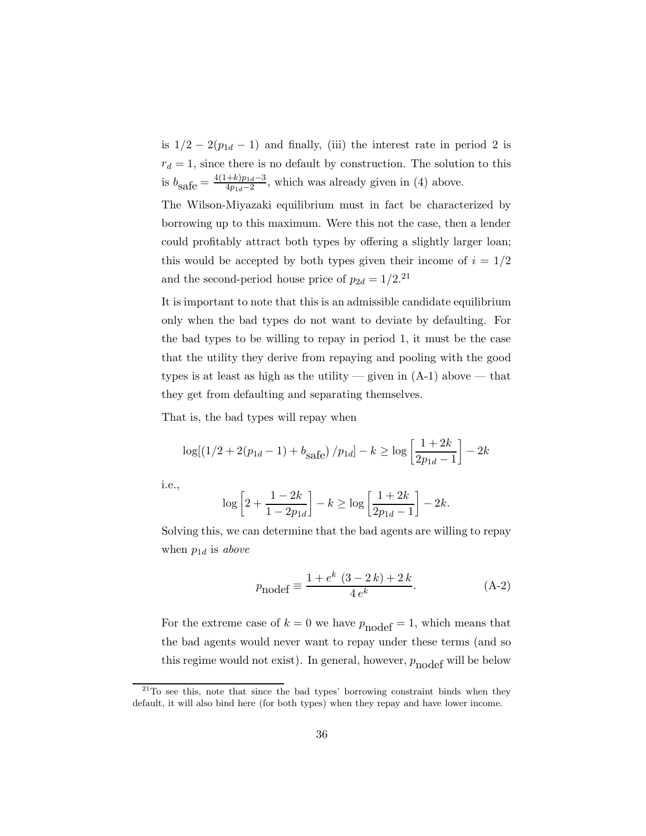is  $1/2 - 2(p_{1d} - 1)$  and finally, (iii) the interest rate in period 2 is  $r_d = 1$ , since there is no default by construction. The solution to this is  $b_{\text{safe}} = \frac{4(1+k)p_{1d}-3}{4p_{1d}-2}$ , which was already given in (4) above.

The Wilson-Miyazaki equilibrium must in fact be characterized by borrowing up to this maximum. Were this not the case, then a lender could profitably attract both types by offering a slightly larger loan; this would be accepted by both types given their income of  $i = 1/2$ and the second-period house price of  $p_{2d} = 1/2$ .<sup>21</sup>

It is important to note that this is an admissible candidate equilibrium only when the bad types do not want to deviate by defaulting. For the bad types to be willing to repay in period 1, it must be the case that the utility they derive from repaying and pooling with the good types is at least as high as the utility — given in  $(A-1)$  above — that they get from defaulting and separating themselves.

That is, the bad types will repay when

$$
\log[(1/2 + 2(p_{1d} - 1) + b_{\text{safe}})/p_{1d}] - k \ge \log\left[\frac{1 + 2k}{2p_{1d} - 1}\right] - 2k
$$

i.e.,

$$
\log\left[2 + \frac{1 - 2k}{1 - 2p_{1d}}\right] - k \ge \log\left[\frac{1 + 2k}{2p_{1d} - 1}\right] - 2k.
$$

Solving this, we can determine that the bad agents are willing to repay when  $p_{1d}$  is *above* 

$$
p_{\text{nodef}} \equiv \frac{1 + e^k (3 - 2k) + 2k}{4 e^k}.
$$
 (A-2)

For the extreme case of  $k = 0$  we have  $p_{\text{nodef}} = 1$ , which means that the bad agents would never want to repay under these terms (and so this regime would not exist). In general, however,  $p_{\text{nodef}}$  will be below

 $21$ <sup>21</sup>To see this, note that since the bad types' borrowing constraint binds when they default, it will also bind here (for both types) when they repay and have lower income.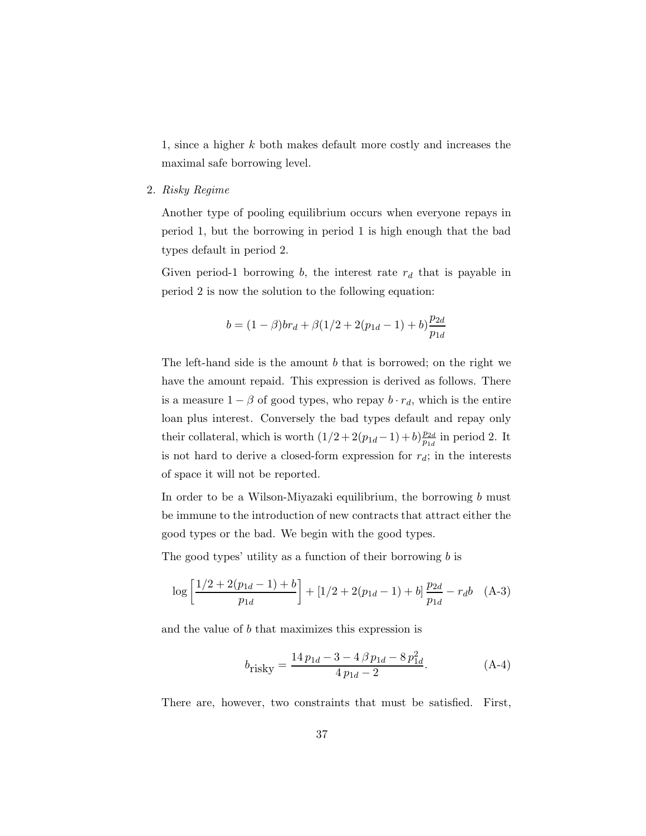1, since a higher k both makes default more costly and increases the maximal safe borrowing level.

2. *Risky Regime*

Another type of pooling equilibrium occurs when everyone repays in period 1, but the borrowing in period 1 is high enough that the bad types default in period 2.

Given period-1 borrowing b, the interest rate  $r_d$  that is payable in period 2 is now the solution to the following equation:

$$
b = (1 - \beta)br_d + \beta(1/2 + 2(p_{1d} - 1) + b)\frac{p_{2d}}{p_{1d}}
$$

The left-hand side is the amount b that is borrowed; on the right we have the amount repaid. This expression is derived as follows. There is a measure  $1 - \beta$  of good types, who repay  $b \cdot r_d$ , which is the entire loan plus interest. Conversely the bad types default and repay only their collateral, which is worth  $(1/2 + 2(p_{1d} - 1) + b) \frac{p_{2d}}{p_{1d}}$  in period 2. It is not hard to derive a closed-form expression for  $r_d$ ; in the interests of space it will not be reported.

In order to be a Wilson-Miyazaki equilibrium, the borrowing b must be immune to the introduction of new contracts that attract either the good types or the bad. We begin with the good types.

The good types' utility as a function of their borrowing  $b$  is

$$
\log\left[\frac{1/2+2(p_{1d}-1)+b}{p_{1d}}\right] + [1/2+2(p_{1d}-1)+b]\frac{p_{2d}}{p_{1d}} - r_d b \quad (A-3)
$$

and the value of b that maximizes this expression is

$$
b_{\text{risky}} = \frac{14 p_{1d} - 3 - 4 \beta p_{1d} - 8 p_{1d}^2}{4 p_{1d} - 2}.
$$
 (A-4)

There are, however, two constraints that must be satisfied. First,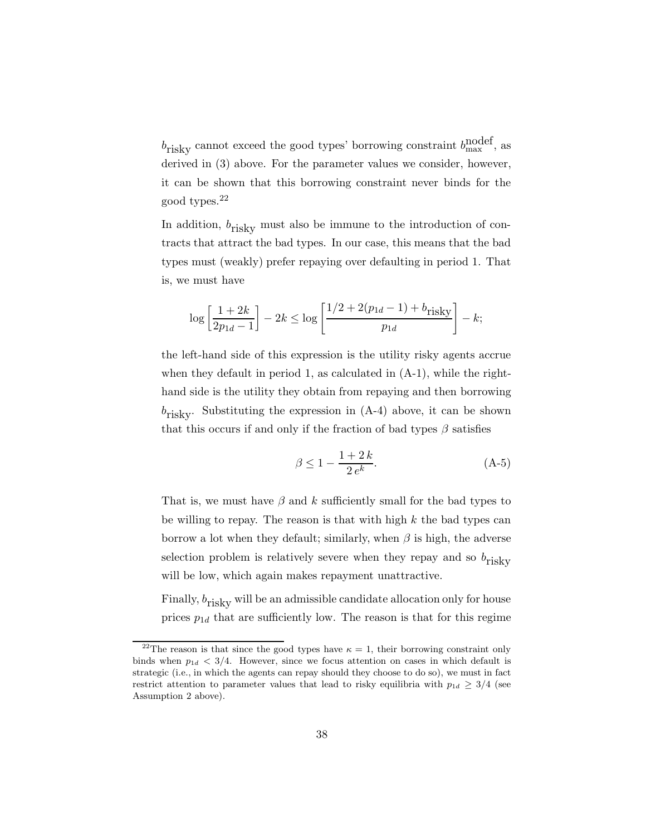$b_{\text{risky}}$  cannot exceed the good types' borrowing constraint  $b_{\text{max}}^{\text{nodef}}$ , as derived in (3) above. For the parameter values we consider, however, it can be shown that this borrowing constraint never binds for the good types.<sup>22</sup>

In addition,  $b_{\text{riskV}}$  must also be immune to the introduction of contracts that attract the bad types. In our case, this means that the bad types must (weakly) prefer repaying over defaulting in period 1. That is, we must have

$$
\log \left[ \frac{1+2k}{2p_{1d}-1} \right] - 2k \le \log \left[ \frac{1/2 + 2(p_{1d}-1) + b_{\text{risky}}}{p_{1d}} \right] - k;
$$

the left-hand side of this expression is the utility risky agents accrue when they default in period 1, as calculated in  $(A-1)$ , while the righthand side is the utility they obtain from repaying and then borrowing  $b_{\text{risky}}$ . Substituting the expression in  $(A-4)$  above, it can be shown that this occurs if and only if the fraction of bad types  $\beta$  satisfies

$$
\beta \le 1 - \frac{1 + 2k}{2 e^k}.
$$
 (A-5)

That is, we must have  $\beta$  and k sufficiently small for the bad types to be willing to repay. The reason is that with high  $k$  the bad types can borrow a lot when they default; similarly, when  $\beta$  is high, the adverse selection problem is relatively severe when they repay and so  $b_{\text{riskv}}$ will be low, which again makes repayment unattractive.

Finally,  $b_{\text{riskv}}$  will be an admissible candidate allocation only for house prices  $p_{1d}$  that are sufficiently low. The reason is that for this regime

<sup>&</sup>lt;sup>22</sup>The reason is that since the good types have  $\kappa = 1$ , their borrowing constraint only binds when  $p_{1d} < 3/4$ . However, since we focus attention on cases in which default is strategic (i.e., in which the agents can repay should they choose to do so), we must in fact restrict attention to parameter values that lead to risky equilibria with  $p_{1d} \geq 3/4$  (see Assumption 2 above).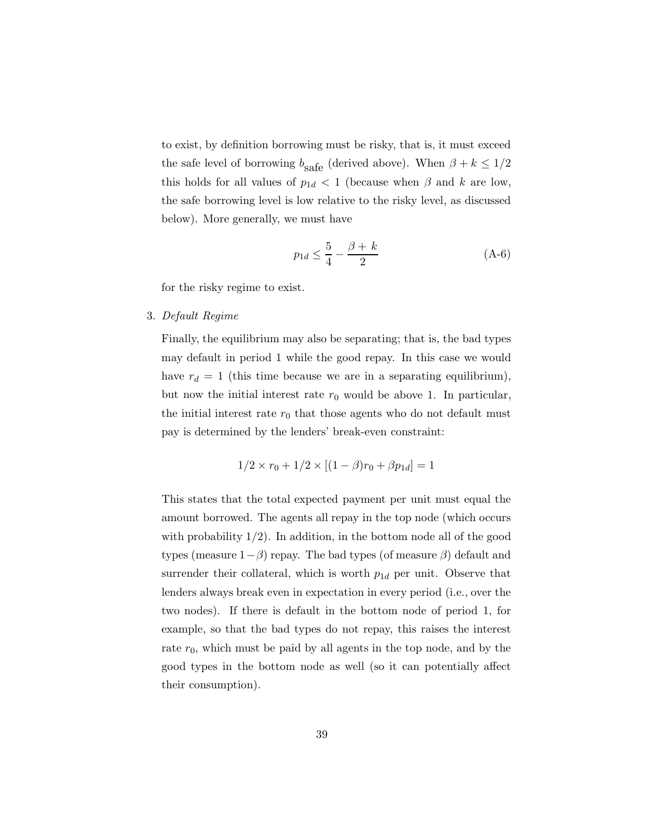to exist, by definition borrowing must be risky, that is, it must exceed the safe level of borrowing  $b_{\text{safe}}$  (derived above). When  $\beta + k \leq 1/2$ this holds for all values of  $p_{1d} < 1$  (because when  $\beta$  and k are low, the safe borrowing level is low relative to the risky level, as discussed below). More generally, we must have

$$
p_{1d} \le \frac{5}{4} - \frac{\beta + k}{2} \tag{A-6}
$$

for the risky regime to exist.

#### 3. *Default Regime*

Finally, the equilibrium may also be separating; that is, the bad types may default in period 1 while the good repay. In this case we would have  $r_d = 1$  (this time because we are in a separating equilibrium), but now the initial interest rate  $r_0$  would be above 1. In particular, the initial interest rate  $r_0$  that those agents who do not default must pay is determined by the lenders' break-even constraint:

$$
1/2 \times r_0 + 1/2 \times [(1 - \beta)r_0 + \beta p_{1d}] = 1
$$

This states that the total expected payment per unit must equal the amount borrowed. The agents all repay in the top node (which occurs with probability  $1/2$ ). In addition, in the bottom node all of the good types (measure  $1-\beta$ ) repay. The bad types (of measure  $\beta$ ) default and surrender their collateral, which is worth  $p_{1d}$  per unit. Observe that lenders always break even in expectation in every period (i.e., over the two nodes). If there is default in the bottom node of period 1, for example, so that the bad types do not repay, this raises the interest rate  $r_0$ , which must be paid by all agents in the top node, and by the good types in the bottom node as well (so it can potentially affect their consumption).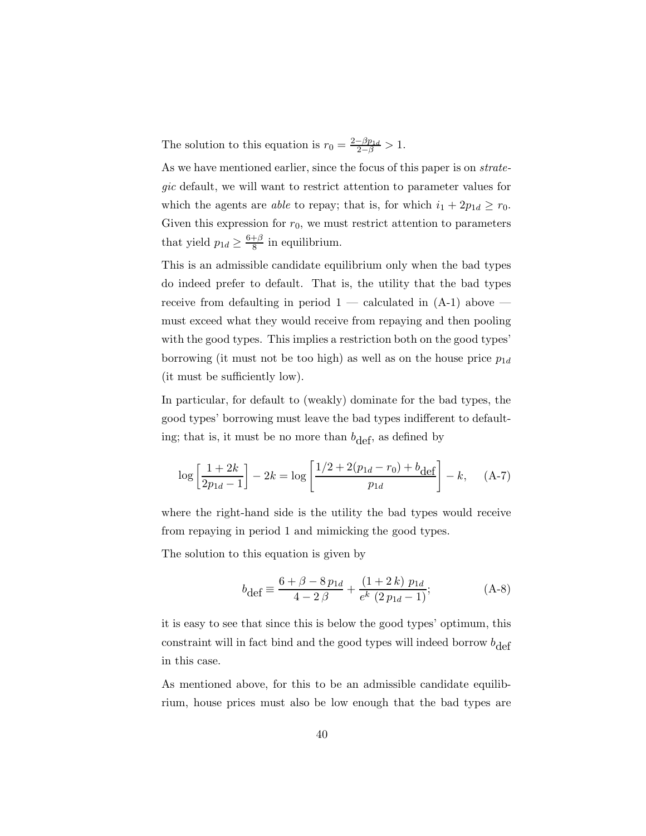The solution to this equation is  $r_0 = \frac{2-\beta p_{1d}}{2-\beta} > 1$ .

As we have mentioned earlier, since the focus of this paper is on *strategic* default, we will want to restrict attention to parameter values for which the agents are *able* to repay; that is, for which  $i_1 + 2p_{1d} \ge r_0$ . Given this expression for  $r_0$ , we must restrict attention to parameters that yield  $p_{1d} \ge \frac{6+\beta}{8}$  in equilibrium.

This is an admissible candidate equilibrium only when the bad types do indeed prefer to default. That is, the utility that the bad types receive from defaulting in period  $1 -$  calculated in  $(A-1)$  above  $$ must exceed what they would receive from repaying and then pooling with the good types. This implies a restriction both on the good types' borrowing (it must not be too high) as well as on the house price  $p_{1d}$ (it must be sufficiently low).

In particular, for default to (weakly) dominate for the bad types, the good types' borrowing must leave the bad types indifferent to defaulting; that is, it must be no more than  $b_{\text{def}}$ , as defined by

$$
\log\left[\frac{1+2k}{2p_{1d}-1}\right] - 2k = \log\left[\frac{1/2 + 2(p_{1d}-r_0) + b_{\text{def}}}{p_{1d}}\right] - k,\quad \text{(A-7)}
$$

where the right-hand side is the utility the bad types would receive from repaying in period 1 and mimicking the good types.

The solution to this equation is given by

$$
b_{\text{def}} \equiv \frac{6 + \beta - 8 p_{1d}}{4 - 2 \beta} + \frac{(1 + 2 k) p_{1d}}{e^k (2 p_{1d} - 1)};
$$
 (A-8)

it is easy to see that since this is below the good types' optimum, this constraint will in fact bind and the good types will indeed borrow  $b_{\text{def}}$ in this case.

As mentioned above, for this to be an admissible candidate equilibrium, house prices must also be low enough that the bad types are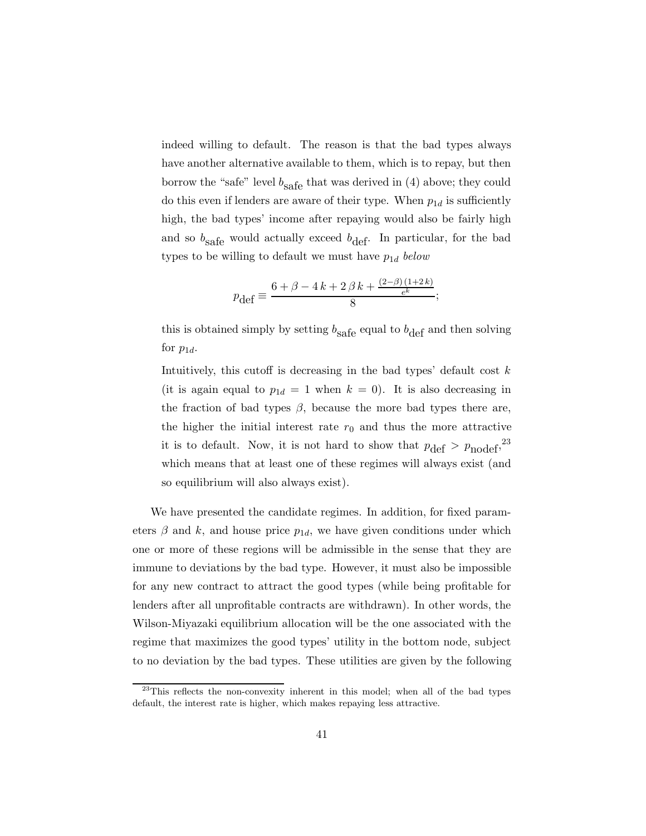indeed willing to default. The reason is that the bad types always have another alternative available to them, which is to repay, but then borrow the "safe" level  $b_{\text{safe}}$  that was derived in (4) above; they could do this even if lenders are aware of their type. When  $p_{1d}$  is sufficiently high, the bad types' income after repaying would also be fairly high and so  $b_{\text{safe}}$  would actually exceed  $b_{\text{def}}$ . In particular, for the bad types to be willing to default we must have  $p_{1d}$  *below* 

$$
p_{\text{def}} \equiv \frac{6 + \beta - 4k + 2\beta k + \frac{(2-\beta)(1+2k)}{e^k}}{8};
$$

this is obtained simply by setting  $b_{\text{safe}}$  equal to  $b_{\text{def}}$  and then solving for  $p_{1d}$ .

Intuitively, this cutoff is decreasing in the bad types' default cost  $k$ (it is again equal to  $p_{1d} = 1$  when  $k = 0$ ). It is also decreasing in the fraction of bad types  $\beta$ , because the more bad types there are, the higher the initial interest rate  $r_0$  and thus the more attractive it is to default. Now, it is not hard to show that  $p_{\text{def}} > p_{\text{nodef}}^2$ , which means that at least one of these regimes will always exist (and so equilibrium will also always exist).

We have presented the candidate regimes. In addition, for fixed parameters  $\beta$  and k, and house price  $p_{1d}$ , we have given conditions under which one or more of these regions will be admissible in the sense that they are immune to deviations by the bad type. However, it must also be impossible for any new contract to attract the good types (while being profitable for lenders after all unprofitable contracts are withdrawn). In other words, the Wilson-Miyazaki equilibrium allocation will be the one associated with the regime that maximizes the good types' utility in the bottom node, subject to no deviation by the bad types. These utilities are given by the following

 $^{23}$ This reflects the non-convexity inherent in this model; when all of the bad types default, the interest rate is higher, which makes repaying less attractive.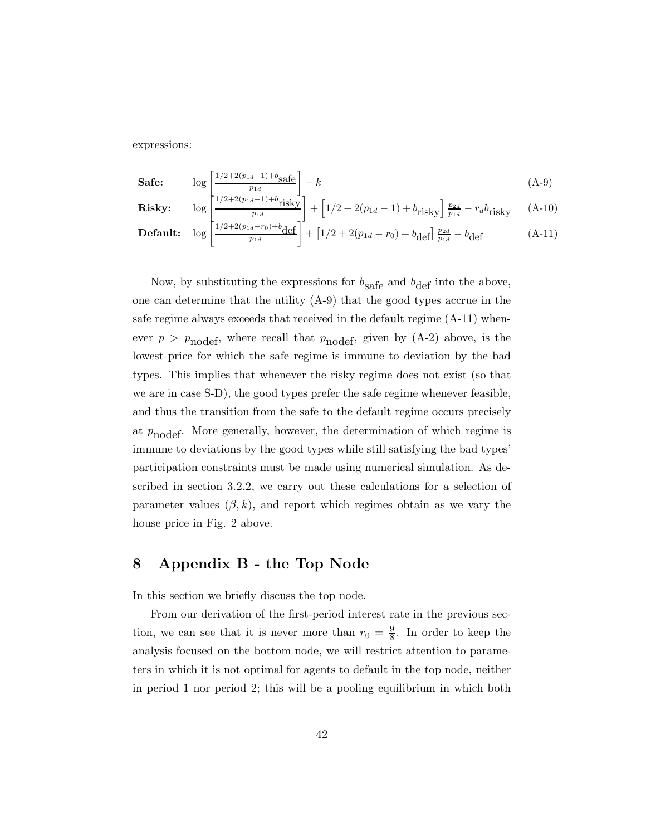expressions:

$$
\textbf{Safe:} \qquad \log \left[ \frac{1/2 + 2(p_{1d} - 1) + b_{\text{safe}}}{p_{1d}} \right] - k \tag{A-9}
$$

**Risky:** 
$$
\log \left[ \frac{1/2 + 2(p_{1d} - 1) + b_{\text{risky}}}{p_{1d}} \right] + \left[ 1/2 + 2(p_{1d} - 1) + b_{\text{risky}} \right] \frac{p_{2d}}{p_{1d}} - r_d b_{\text{risky}} \quad \text{(A-10)}
$$

**Default:** 
$$
\log \left[ \frac{1/2 + 2(p_{1d} - r_0) + b_{\text{def}}}{p_{1d}} \right] + \left[ 1/2 + 2(p_{1d} - r_0) + b_{\text{def}} \right] \frac{p_{2d}}{p_{1d}} - b_{\text{def}} \tag{A-11}
$$

Now, by substituting the expressions for  $b_{\text{safe}}$  and  $b_{\text{def}}$  into the above, one can determine that the utility (A-9) that the good types accrue in the safe regime always exceeds that received in the default regime (A-11) whenever  $p > p_{\text{nodef}}$ , where recall that  $p_{\text{nodef}}$ , given by (A-2) above, is the lowest price for which the safe regime is immune to deviation by the bad types. This implies that whenever the risky regime does not exist (so that we are in case S-D), the good types prefer the safe regime whenever feasible, and thus the transition from the safe to the default regime occurs precisely at  $p_{\text{nodef}}$ . More generally, however, the determination of which regime is immune to deviations by the good types while still satisfying the bad types' participation constraints must be made using numerical simulation. As described in section 3.2.2, we carry out these calculations for a selection of parameter values  $(\beta, k)$ , and report which regimes obtain as we vary the house price in Fig. 2 above.

# **8 Appendix B - the Top Node**

In this section we briefly discuss the top node.

From our derivation of the first-period interest rate in the previous section, we can see that it is never more than  $r_0 = \frac{9}{8}$ . In order to keep the analysis focused on the bottom node, we will restrict attention to parameters in which it is not optimal for agents to default in the top node, neither in period 1 nor period 2; this will be a pooling equilibrium in which both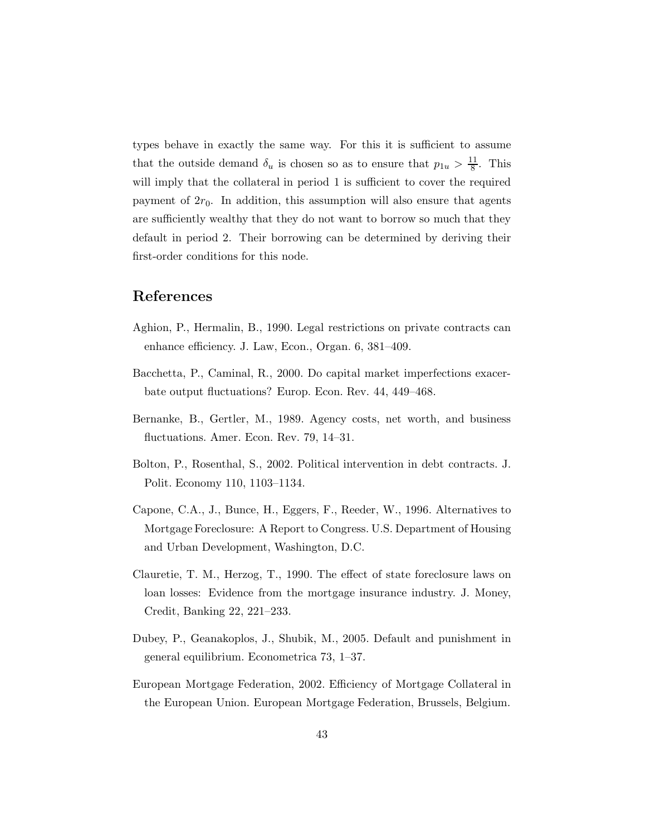types behave in exactly the same way. For this it is sufficient to assume that the outside demand  $\delta_u$  is chosen so as to ensure that  $p_{1u} > \frac{11}{8}$ . This will imply that the collateral in period 1 is sufficient to cover the required payment of  $2r_0$ . In addition, this assumption will also ensure that agents are sufficiently wealthy that they do not want to borrow so much that they default in period 2. Their borrowing can be determined by deriving their first-order conditions for this node.

# **References**

- Aghion, P., Hermalin, B., 1990. Legal restrictions on private contracts can enhance efficiency. J. Law, Econ., Organ. 6, 381–409.
- Bacchetta, P., Caminal, R., 2000. Do capital market imperfections exacerbate output fluctuations? Europ. Econ. Rev. 44, 449–468.
- Bernanke, B., Gertler, M., 1989. Agency costs, net worth, and business fluctuations. Amer. Econ. Rev. 79, 14–31.
- Bolton, P., Rosenthal, S., 2002. Political intervention in debt contracts. J. Polit. Economy 110, 1103–1134.
- Capone, C.A., J., Bunce, H., Eggers, F., Reeder, W., 1996. Alternatives to Mortgage Foreclosure: A Report to Congress. U.S. Department of Housing and Urban Development, Washington, D.C.
- Clauretie, T. M., Herzog, T., 1990. The effect of state foreclosure laws on loan losses: Evidence from the mortgage insurance industry. J. Money, Credit, Banking 22, 221–233.
- Dubey, P., Geanakoplos, J., Shubik, M., 2005. Default and punishment in general equilibrium. Econometrica 73, 1–37.
- European Mortgage Federation, 2002. Efficiency of Mortgage Collateral in the European Union. European Mortgage Federation, Brussels, Belgium.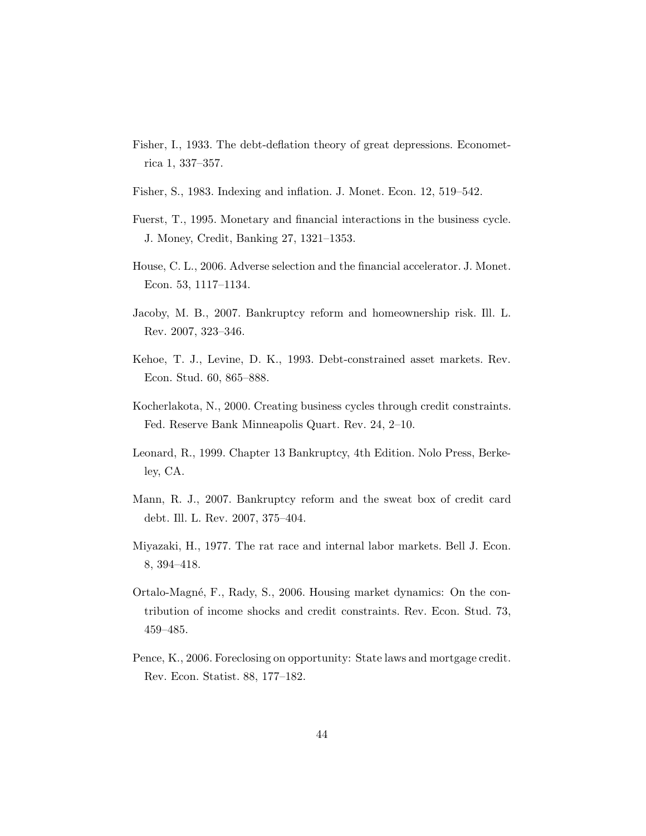- Fisher, I., 1933. The debt-deflation theory of great depressions. Econometrica 1, 337–357.
- Fisher, S., 1983. Indexing and inflation. J. Monet. Econ. 12, 519–542.
- Fuerst, T., 1995. Monetary and financial interactions in the business cycle. J. Money, Credit, Banking 27, 1321–1353.
- House, C. L., 2006. Adverse selection and the financial accelerator. J. Monet. Econ. 53, 1117–1134.
- Jacoby, M. B., 2007. Bankruptcy reform and homeownership risk. Ill. L. Rev. 2007, 323–346.
- Kehoe, T. J., Levine, D. K., 1993. Debt-constrained asset markets. Rev. Econ. Stud. 60, 865–888.
- Kocherlakota, N., 2000. Creating business cycles through credit constraints. Fed. Reserve Bank Minneapolis Quart. Rev. 24, 2–10.
- Leonard, R., 1999. Chapter 13 Bankruptcy, 4th Edition. Nolo Press, Berkeley, CA.
- Mann, R. J., 2007. Bankruptcy reform and the sweat box of credit card debt. Ill. L. Rev. 2007, 375–404.
- Miyazaki, H., 1977. The rat race and internal labor markets. Bell J. Econ. 8, 394–418.
- Ortalo-Magné, F., Rady, S., 2006. Housing market dynamics: On the contribution of income shocks and credit constraints. Rev. Econ. Stud. 73, 459–485.
- Pence, K., 2006. Foreclosing on opportunity: State laws and mortgage credit. Rev. Econ. Statist. 88, 177–182.